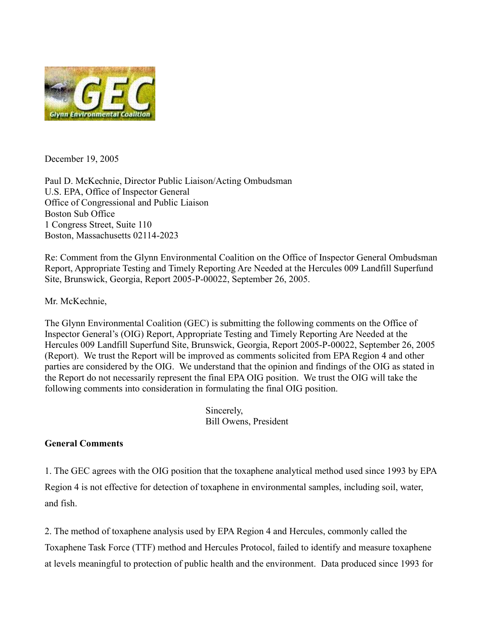

December 19, 2005

Paul D. McKechnie, Director Public Liaison/Acting Ombudsman U.S. EPA, Office of Inspector General Office of Congressional and Public Liaison Boston Sub Office 1 Congress Street, Suite 110 Boston, Massachusetts 02114-2023

Re: Comment from the Glynn Environmental Coalition on the Office of Inspector General Ombudsman Report, Appropriate Testing and Timely Reporting Are Needed at the Hercules 009 Landfill Superfund Site, Brunswick, Georgia, Report 2005-P-00022, September 26, 2005.

Mr. McKechnie,

The Glynn Environmental Coalition (GEC) is submitting the following comments on the Office of Inspector General's (OIG) Report, Appropriate Testing and Timely Reporting Are Needed at the Hercules 009 Landfill Superfund Site, Brunswick, Georgia, Report 2005-P-00022, September 26, 2005 (Report). We trust the Report will be improved as comments solicited from EPA Region 4 and other parties are considered by the OIG. We understand that the opinion and findings of the OIG as stated in the Report do not necessarily represent the final EPA OIG position. We trust the OIG will take the following comments into consideration in formulating the final OIG position.

> Sincerely, Bill Owens, President

## **General Comments**

1. The GEC agrees with the OIG position that the toxaphene analytical method used since 1993 by EPA Region 4 is not effective for detection of toxaphene in environmental samples, including soil, water, and fish.

2. The method of toxaphene analysis used by EPA Region 4 and Hercules, commonly called the Toxaphene Task Force (TTF) method and Hercules Protocol, failed to identify and measure toxaphene at levels meaningful to protection of public health and the environment. Data produced since 1993 for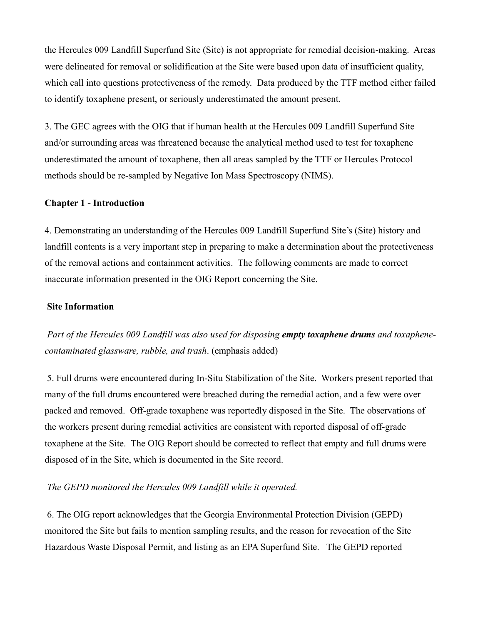the Hercules 009 Landfill Superfund Site (Site) is not appropriate for remedial decision-making. Areas were delineated for removal or solidification at the Site were based upon data of insufficient quality, which call into questions protectiveness of the remedy. Data produced by the TTF method either failed to identify toxaphene present, or seriously underestimated the amount present.

3. The GEC agrees with the OIG that if human health at the Hercules 009 Landfill Superfund Site and/or surrounding areas was threatened because the analytical method used to test for toxaphene underestimated the amount of toxaphene, then all areas sampled by the TTF or Hercules Protocol methods should be re-sampled by Negative Ion Mass Spectroscopy (NIMS).

### **Chapter 1 - Introduction**

4. Demonstrating an understanding of the Hercules 009 Landfill Superfund Site's (Site) history and landfill contents is a very important step in preparing to make a determination about the protectiveness of the removal actions and containment activities. The following comments are made to correct inaccurate information presented in the OIG Report concerning the Site.

#### **Site Information**

*Part of the Hercules 009 Landfill was also used for disposing empty toxaphene drums and toxaphenecontaminated glassware, rubble, and trash*. (emphasis added)

5. Full drums were encountered during In-Situ Stabilization of the Site. Workers present reported that many of the full drums encountered were breached during the remedial action, and a few were over packed and removed. Off-grade toxaphene was reportedly disposed in the Site. The observations of the workers present during remedial activities are consistent with reported disposal of off-grade toxaphene at the Site. The OIG Report should be corrected to reflect that empty and full drums were disposed of in the Site, which is documented in the Site record.

## *The GEPD monitored the Hercules 009 Landfill while it operated.*

6. The OIG report acknowledges that the Georgia Environmental Protection Division (GEPD) monitored the Site but fails to mention sampling results, and the reason for revocation of the Site Hazardous Waste Disposal Permit, and listing as an EPA Superfund Site. The GEPD reported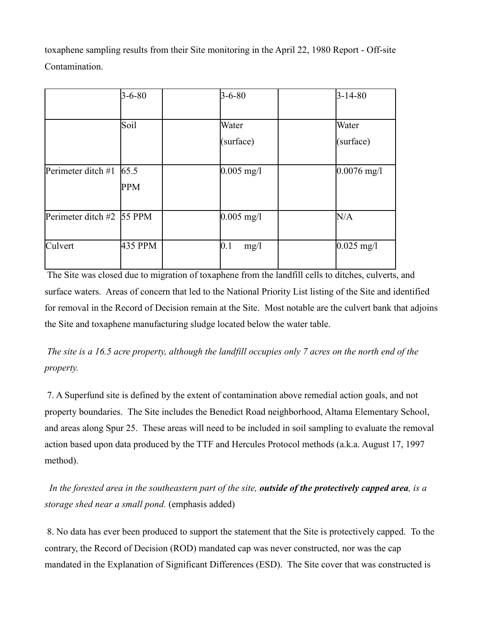toxaphene sampling results from their Site monitoring in the April 22, 1980 Report - Off-site **Contamination** 

|                                | $3 - 6 - 80$ | $3 - 6 - 80$ | $3 - 14 - 80$ |
|--------------------------------|--------------|--------------|---------------|
|                                |              |              |               |
|                                | Soil         | Water        | Water         |
|                                |              | (surface)    | (surface)     |
|                                |              |              |               |
| Perimeter ditch #1 $65.5$      |              | $0.005$ mg/l | $0.0076$ mg/l |
|                                | <b>PPM</b>   |              |               |
|                                |              |              |               |
| Perimeter ditch #2 $\,$ 55 PPM |              | $0.005$ mg/l | N/A           |
|                                |              |              |               |
| Culvert                        | 435 PPM      | 0.1<br>mg/1  | $0.025$ mg/l  |
|                                |              |              |               |

The Site was closed due to migration of toxaphene from the landfill cells to ditches, culverts, and surface waters. Areas of concern that led to the National Priority List listing of the Site and identified for removal in the Record of Decision remain at the Site. Most notable are the culvert bank that adjoins the Site and toxaphene manufacturing sludge located below the water table.

*The site is a 16.5 acre property, although the landfill occupies only 7 acres on the north end of the property.*

7. A Superfund site is defined by the extent of contamination above remedial action goals, and not property boundaries. The Site includes the Benedict Road neighborhood, Altama Elementary School, and areas along Spur 25. These areas will need to be included in soil sampling to evaluate the removal action based upon data produced by the TTF and Hercules Protocol methods (a.k.a. August 17, 1997 method).

*In the forested area in the southeastern part of the site, outside of the protectively capped area, is a storage shed near a small pond.* (emphasis added)

8. No data has ever been produced to support the statement that the Site is protectively capped. To the contrary, the Record of Decision (ROD) mandated cap was never constructed, nor was the cap mandated in the Explanation of Significant Differences (ESD). The Site cover that was constructed is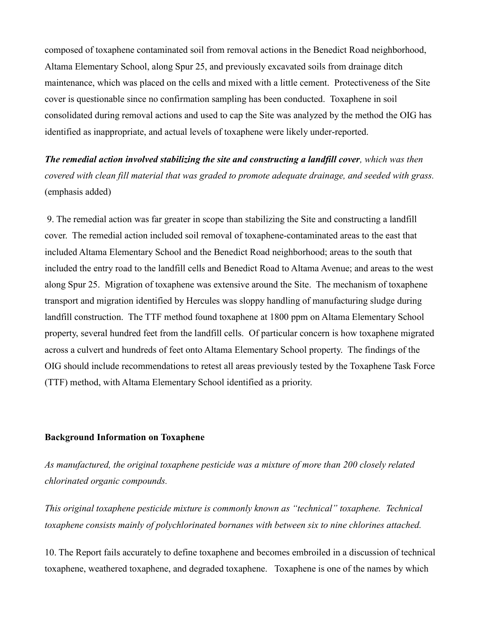composed of toxaphene contaminated soil from removal actions in the Benedict Road neighborhood, Altama Elementary School, along Spur 25, and previously excavated soils from drainage ditch maintenance, which was placed on the cells and mixed with a little cement. Protectiveness of the Site cover is questionable since no confirmation sampling has been conducted. Toxaphene in soil consolidated during removal actions and used to cap the Site was analyzed by the method the OIG has identified as inappropriate, and actual levels of toxaphene were likely under-reported.

*The remedial action involved stabilizing the site and constructing a landfill cover, which was then covered with clean fill material that was graded to promote adequate drainage, and seeded with grass.*  (emphasis added)

9. The remedial action was far greater in scope than stabilizing the Site and constructing a landfill cover. The remedial action included soil removal of toxaphene-contaminated areas to the east that included Altama Elementary School and the Benedict Road neighborhood; areas to the south that included the entry road to the landfill cells and Benedict Road to Altama Avenue; and areas to the west along Spur 25. Migration of toxaphene was extensive around the Site. The mechanism of toxaphene transport and migration identified by Hercules was sloppy handling of manufacturing sludge during landfill construction. The TTF method found toxaphene at 1800 ppm on Altama Elementary School property, several hundred feet from the landfill cells. Of particular concern is how toxaphene migrated across a culvert and hundreds of feet onto Altama Elementary School property. The findings of the OIG should include recommendations to retest all areas previously tested by the Toxaphene Task Force (TTF) method, with Altama Elementary School identified as a priority.

#### **Background Information on Toxaphene**

*As manufactured, the original toxaphene pesticide was a mixture of more than 200 closely related chlorinated organic compounds.*

*This original toxaphene pesticide mixture is commonly known as "technical" toxaphene. Technical toxaphene consists mainly of polychlorinated bornanes with between six to nine chlorines attached.*

10. The Report fails accurately to define toxaphene and becomes embroiled in a discussion of technical toxaphene, weathered toxaphene, and degraded toxaphene. Toxaphene is one of the names by which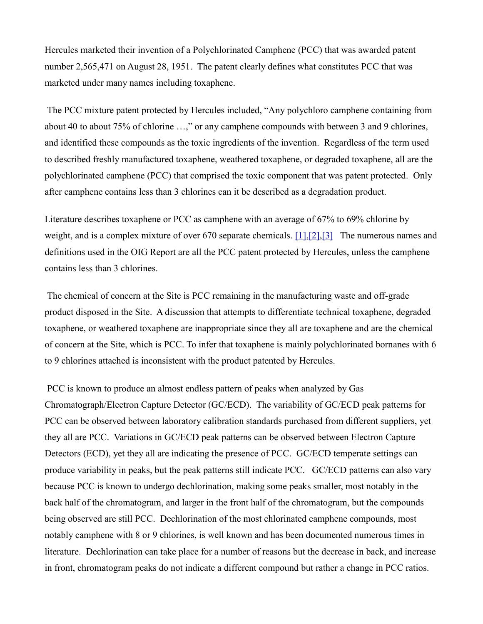Hercules marketed their invention of a Polychlorinated Camphene (PCC) that was awarded patent number 2,565,471 on August 28, 1951. The patent clearly defines what constitutes PCC that was marketed under many names including toxaphene.

The PCC mixture patent protected by Hercules included, "Any polychloro camphene containing from about 40 to about 75% of chlorine …," or any camphene compounds with between 3 and 9 chlorines, and identified these compounds as the toxic ingredients of the invention. Regardless of the term used to described freshly manufactured toxaphene, weathered toxaphene, or degraded toxaphene, all are the polychlorinated camphene (PCC) that comprised the toxic component that was patent protected. Only after camphene contains less than 3 chlorines can it be described as a degradation product.

Literature describes toxaphene or PCC as camphene with an average of 67% to 69% chlorine by weight, and is a complex mixture of over 670 separate chemicals. [\[1\]](http://glynnenvironmental.org/oldsite/009IG-comments-12-19-05.htm#_edn1), [2], [3] The numerous names and definitions used in the OIG Report are all the PCC patent protected by Hercules, unless the camphene contains less than 3 chlorines.

The chemical of concern at the Site is PCC remaining in the manufacturing waste and off-grade product disposed in the Site. A discussion that attempts to differentiate technical toxaphene, degraded toxaphene, or weathered toxaphene are inappropriate since they all are toxaphene and are the chemical of concern at the Site, which is PCC. To infer that toxaphene is mainly polychlorinated bornanes with 6 to 9 chlorines attached is inconsistent with the product patented by Hercules.

PCC is known to produce an almost endless pattern of peaks when analyzed by Gas Chromatograph/Electron Capture Detector (GC/ECD). The variability of GC/ECD peak patterns for PCC can be observed between laboratory calibration standards purchased from different suppliers, yet they all are PCC. Variations in GC/ECD peak patterns can be observed between Electron Capture Detectors (ECD), yet they all are indicating the presence of PCC. GC/ECD temperate settings can produce variability in peaks, but the peak patterns still indicate PCC. GC/ECD patterns can also vary because PCC is known to undergo dechlorination, making some peaks smaller, most notably in the back half of the chromatogram, and larger in the front half of the chromatogram, but the compounds being observed are still PCC. Dechlorination of the most chlorinated camphene compounds, most notably camphene with 8 or 9 chlorines, is well known and has been documented numerous times in literature. Dechlorination can take place for a number of reasons but the decrease in back, and increase in front, chromatogram peaks do not indicate a different compound but rather a change in PCC ratios.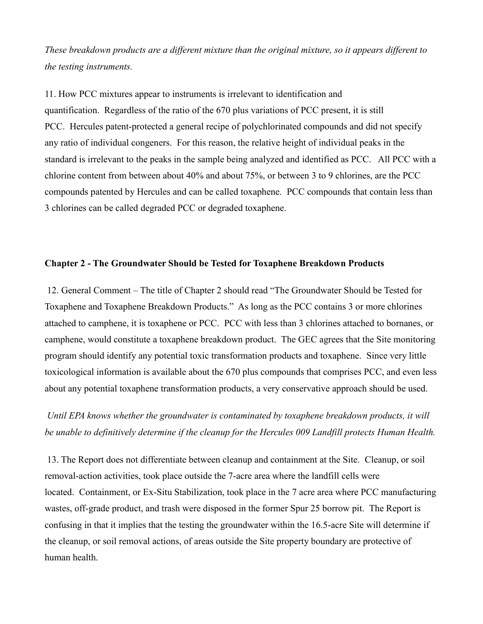*These breakdown products are a different mixture than the original mixture, so it appears different to the testing instruments.*

11. How PCC mixtures appear to instruments is irrelevant to identification and quantification. Regardless of the ratio of the 670 plus variations of PCC present, it is still PCC. Hercules patent-protected a general recipe of polychlorinated compounds and did not specify any ratio of individual congeners. For this reason, the relative height of individual peaks in the standard is irrelevant to the peaks in the sample being analyzed and identified as PCC. All PCC with a chlorine content from between about 40% and about 75%, or between 3 to 9 chlorines, are the PCC compounds patented by Hercules and can be called toxaphene. PCC compounds that contain less than 3 chlorines can be called degraded PCC or degraded toxaphene.

### **Chapter 2 - The Groundwater Should be Tested for Toxaphene Breakdown Products**

12. General Comment – The title of Chapter 2 should read "The Groundwater Should be Tested for Toxaphene and Toxaphene Breakdown Products." As long as the PCC contains 3 or more chlorines attached to camphene, it is toxaphene or PCC. PCC with less than 3 chlorines attached to bornanes, or camphene, would constitute a toxaphene breakdown product. The GEC agrees that the Site monitoring program should identify any potential toxic transformation products and toxaphene. Since very little toxicological information is available about the 670 plus compounds that comprises PCC, and even less about any potential toxaphene transformation products, a very conservative approach should be used.

*Until EPA knows whether the groundwater is contaminated by toxaphene breakdown products, it will be unable to definitively determine if the cleanup for the Hercules 009 Landfill protects Human Health.*

13. The Report does not differentiate between cleanup and containment at the Site. Cleanup, or soil removal-action activities, took place outside the 7-acre area where the landfill cells were located. Containment, or Ex-Situ Stabilization, took place in the 7 acre area where PCC manufacturing wastes, off-grade product, and trash were disposed in the former Spur 25 borrow pit. The Report is confusing in that it implies that the testing the groundwater within the 16.5-acre Site will determine if the cleanup, or soil removal actions, of areas outside the Site property boundary are protective of human health.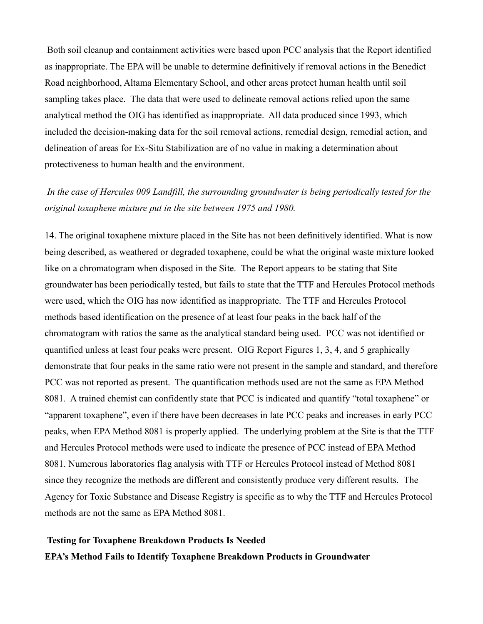Both soil cleanup and containment activities were based upon PCC analysis that the Report identified as inappropriate. The EPA will be unable to determine definitively if removal actions in the Benedict Road neighborhood, Altama Elementary School, and other areas protect human health until soil sampling takes place. The data that were used to delineate removal actions relied upon the same analytical method the OIG has identified as inappropriate. All data produced since 1993, which included the decision-making data for the soil removal actions, remedial design, remedial action, and delineation of areas for Ex-Situ Stabilization are of no value in making a determination about protectiveness to human health and the environment.

# *In the case of Hercules 009 Landfill, the surrounding groundwater is being periodically tested for the original toxaphene mixture put in the site between 1975 and 1980.*

14. The original toxaphene mixture placed in the Site has not been definitively identified. What is now being described, as weathered or degraded toxaphene, could be what the original waste mixture looked like on a chromatogram when disposed in the Site. The Report appears to be stating that Site groundwater has been periodically tested, but fails to state that the TTF and Hercules Protocol methods were used, which the OIG has now identified as inappropriate. The TTF and Hercules Protocol methods based identification on the presence of at least four peaks in the back half of the chromatogram with ratios the same as the analytical standard being used. PCC was not identified or quantified unless at least four peaks were present. OIG Report Figures 1, 3, 4, and 5 graphically demonstrate that four peaks in the same ratio were not present in the sample and standard, and therefore PCC was not reported as present. The quantification methods used are not the same as EPA Method 8081. A trained chemist can confidently state that PCC is indicated and quantify "total toxaphene" or "apparent toxaphene", even if there have been decreases in late PCC peaks and increases in early PCC peaks, when EPA Method 8081 is properly applied. The underlying problem at the Site is that the TTF and Hercules Protocol methods were used to indicate the presence of PCC instead of EPA Method 8081. Numerous laboratories flag analysis with TTF or Hercules Protocol instead of Method 8081 since they recognize the methods are different and consistently produce very different results. The Agency for Toxic Substance and Disease Registry is specific as to why the TTF and Hercules Protocol methods are not the same as EPA Method 8081.

# **Testing for Toxaphene Breakdown Products Is Needed EPA's Method Fails to Identify Toxaphene Breakdown Products in Groundwater**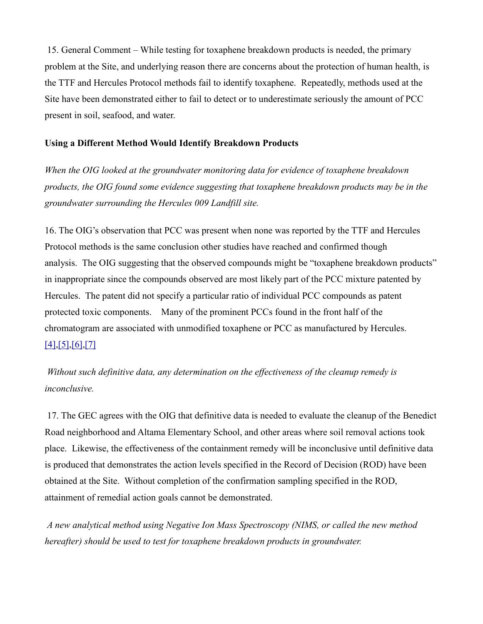15. General Comment – While testing for toxaphene breakdown products is needed, the primary problem at the Site, and underlying reason there are concerns about the protection of human health, is the TTF and Hercules Protocol methods fail to identify toxaphene. Repeatedly, methods used at the Site have been demonstrated either to fail to detect or to underestimate seriously the amount of PCC present in soil, seafood, and water.

## **Using a Different Method Would Identify Breakdown Products**

*When the OIG looked at the groundwater monitoring data for evidence of toxaphene breakdown products, the OIG found some evidence suggesting that toxaphene breakdown products may be in the groundwater surrounding the Hercules 009 Landfill site.*

16. The OIG's observation that PCC was present when none was reported by the TTF and Hercules Protocol methods is the same conclusion other studies have reached and confirmed though analysis. The OIG suggesting that the observed compounds might be "toxaphene breakdown products" in inappropriate since the compounds observed are most likely part of the PCC mixture patented by Hercules. The patent did not specify a particular ratio of individual PCC compounds as patent protected toxic components. Many of the prominent PCCs found in the front half of the chromatogram are associated with unmodified toxaphene or PCC as manufactured by Hercules. [\[4\]](http://glynnenvironmental.org/oldsite/009IG-comments-12-19-05.htm#_edn4)[,\[5\]](http://glynnenvironmental.org/oldsite/009IG-comments-12-19-05.htm#_edn5)[,\[6\]](http://glynnenvironmental.org/oldsite/009IG-comments-12-19-05.htm#_edn6)[,\[7\]](http://glynnenvironmental.org/oldsite/009IG-comments-12-19-05.htm#_edn7)

*Without such definitive data, any determination on the effectiveness of the cleanup remedy is inconclusive.*

17. The GEC agrees with the OIG that definitive data is needed to evaluate the cleanup of the Benedict Road neighborhood and Altama Elementary School, and other areas where soil removal actions took place. Likewise, the effectiveness of the containment remedy will be inconclusive until definitive data is produced that demonstrates the action levels specified in the Record of Decision (ROD) have been obtained at the Site. Without completion of the confirmation sampling specified in the ROD, attainment of remedial action goals cannot be demonstrated.

*A new analytical method using Negative Ion Mass Spectroscopy (NIMS, or called the new method hereafter) should be used to test for toxaphene breakdown products in groundwater.*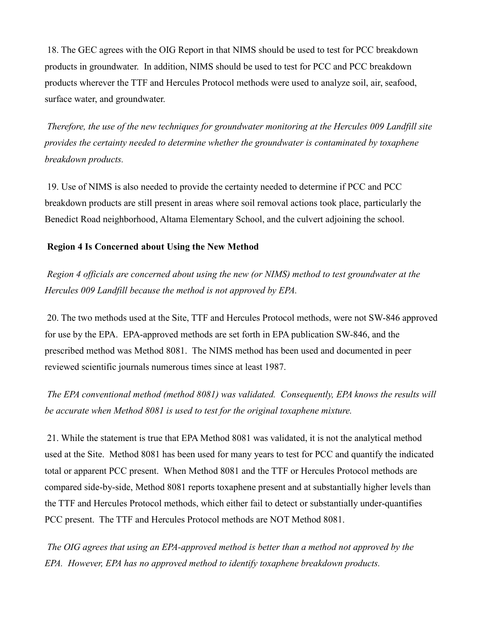18. The GEC agrees with the OIG Report in that NIMS should be used to test for PCC breakdown products in groundwater. In addition, NIMS should be used to test for PCC and PCC breakdown products wherever the TTF and Hercules Protocol methods were used to analyze soil, air, seafood, surface water, and groundwater.

*Therefore, the use of the new techniques for groundwater monitoring at the Hercules 009 Landfill site provides the certainty needed to determine whether the groundwater is contaminated by toxaphene breakdown products.*

19. Use of NIMS is also needed to provide the certainty needed to determine if PCC and PCC breakdown products are still present in areas where soil removal actions took place, particularly the Benedict Road neighborhood, Altama Elementary School, and the culvert adjoining the school.

## **Region 4 Is Concerned about Using the New Method**

*Region 4 officials are concerned about using the new (or NIMS) method to test groundwater at the Hercules 009 Landfill because the method is not approved by EPA.*

20. The two methods used at the Site, TTF and Hercules Protocol methods, were not SW-846 approved for use by the EPA. EPA-approved methods are set forth in EPA publication SW-846, and the prescribed method was Method 8081. The NIMS method has been used and documented in peer reviewed scientific journals numerous times since at least 1987.

*The EPA conventional method (method 8081) was validated. Consequently, EPA knows the results will be accurate when Method 8081 is used to test for the original toxaphene mixture.*

21. While the statement is true that EPA Method 8081 was validated, it is not the analytical method used at the Site. Method 8081 has been used for many years to test for PCC and quantify the indicated total or apparent PCC present. When Method 8081 and the TTF or Hercules Protocol methods are compared side-by-side, Method 8081 reports toxaphene present and at substantially higher levels than the TTF and Hercules Protocol methods, which either fail to detect or substantially under-quantifies PCC present. The TTF and Hercules Protocol methods are NOT Method 8081.

*The OIG agrees that using an EPA-approved method is better than a method not approved by the EPA. However, EPA has no approved method to identify toxaphene breakdown products.*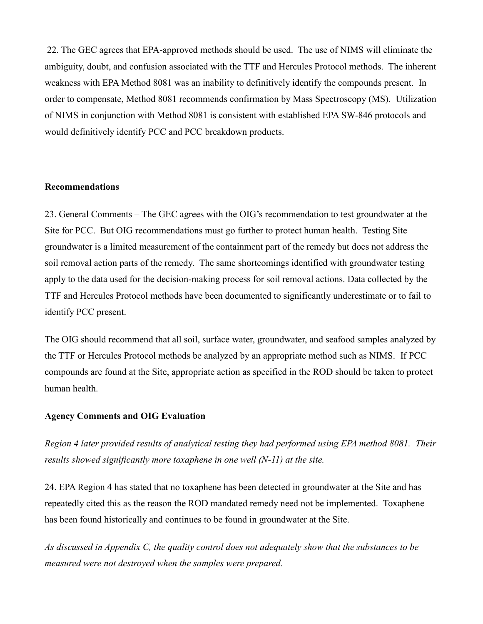22. The GEC agrees that EPA-approved methods should be used. The use of NIMS will eliminate the ambiguity, doubt, and confusion associated with the TTF and Hercules Protocol methods. The inherent weakness with EPA Method 8081 was an inability to definitively identify the compounds present. In order to compensate, Method 8081 recommends confirmation by Mass Spectroscopy (MS). Utilization of NIMS in conjunction with Method 8081 is consistent with established EPA SW-846 protocols and would definitively identify PCC and PCC breakdown products.

## **Recommendations**

23. General Comments – The GEC agrees with the OIG's recommendation to test groundwater at the Site for PCC. But OIG recommendations must go further to protect human health. Testing Site groundwater is a limited measurement of the containment part of the remedy but does not address the soil removal action parts of the remedy. The same shortcomings identified with groundwater testing apply to the data used for the decision-making process for soil removal actions. Data collected by the TTF and Hercules Protocol methods have been documented to significantly underestimate or to fail to identify PCC present.

The OIG should recommend that all soil, surface water, groundwater, and seafood samples analyzed by the TTF or Hercules Protocol methods be analyzed by an appropriate method such as NIMS. If PCC compounds are found at the Site, appropriate action as specified in the ROD should be taken to protect human health.

## **Agency Comments and OIG Evaluation**

*Region 4 later provided results of analytical testing they had performed using EPA method 8081. Their results showed significantly more toxaphene in one well (N-11) at the site.* 

24. EPA Region 4 has stated that no toxaphene has been detected in groundwater at the Site and has repeatedly cited this as the reason the ROD mandated remedy need not be implemented. Toxaphene has been found historically and continues to be found in groundwater at the Site.

*As discussed in Appendix C, the quality control does not adequately show that the substances to be measured were not destroyed when the samples were prepared.*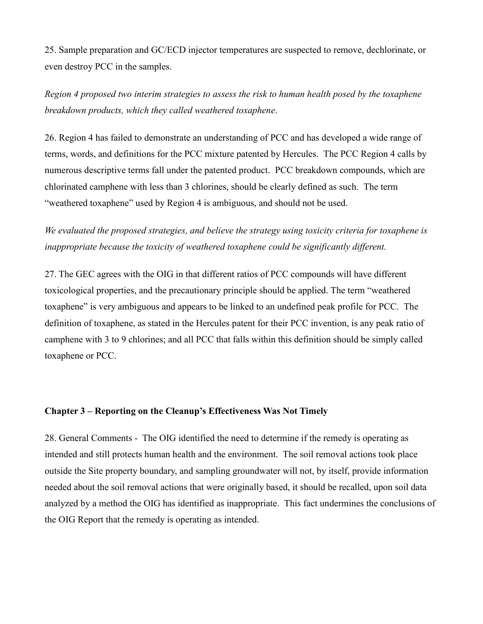25. Sample preparation and GC/ECD injector temperatures are suspected to remove, dechlorinate, or even destroy PCC in the samples.

*Region 4 proposed two interim strategies to assess the risk to human health posed by the toxaphene breakdown products, which they called weathered toxaphene*.

26. Region 4 has failed to demonstrate an understanding of PCC and has developed a wide range of terms, words, and definitions for the PCC mixture patented by Hercules. The PCC Region 4 calls by numerous descriptive terms fall under the patented product. PCC breakdown compounds, which are chlorinated camphene with less than 3 chlorines, should be clearly defined as such. The term "weathered toxaphene" used by Region 4 is ambiguous, and should not be used.

*We evaluated the proposed strategies, and believe the strategy using toxicity criteria for toxaphene is inappropriate because the toxicity of weathered toxaphene could be significantly different.*

27. The GEC agrees with the OIG in that different ratios of PCC compounds will have different toxicological properties, and the precautionary principle should be applied. The term "weathered toxaphene" is very ambiguous and appears to be linked to an undefined peak profile for PCC. The definition of toxaphene, as stated in the Hercules patent for their PCC invention, is any peak ratio of camphene with 3 to 9 chlorines; and all PCC that falls within this definition should be simply called toxaphene or PCC.

#### **Chapter 3 – Reporting on the Cleanup's Effectiveness Was Not Timely**

28. General Comments - The OIG identified the need to determine if the remedy is operating as intended and still protects human health and the environment. The soil removal actions took place outside the Site property boundary, and sampling groundwater will not, by itself, provide information needed about the soil removal actions that were originally based, it should be recalled, upon soil data analyzed by a method the OIG has identified as inappropriate. This fact undermines the conclusions of the OIG Report that the remedy is operating as intended.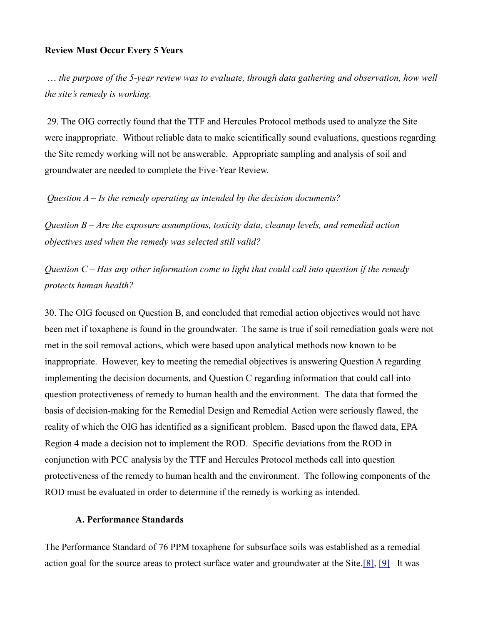#### **Review Must Occur Every 5 Years**

… *the purpose of the 5-year review was to evaluate, through data gathering and observation, how well the site's remedy is working.*

29. The OIG correctly found that the TTF and Hercules Protocol methods used to analyze the Site were inappropriate. Without reliable data to make scientifically sound evaluations, questions regarding the Site remedy working will not be answerable. Appropriate sampling and analysis of soil and groundwater are needed to complete the Five-Year Review.

*Question A – Is the remedy operating as intended by the decision documents?*

*Question B – Are the exposure assumptions, toxicity data, cleanup levels, and remedial action objectives used when the remedy was selected still valid?*

*Question C – Has any other information come to light that could call into question if the remedy protects human health?*

30. The OIG focused on Question B, and concluded that remedial action objectives would not have been met if toxaphene is found in the groundwater. The same is true if soil remediation goals were not met in the soil removal actions, which were based upon analytical methods now known to be inappropriate. However, key to meeting the remedial objectives is answering Question A regarding implementing the decision documents, and Question C regarding information that could call into question protectiveness of remedy to human health and the environment. The data that formed the basis of decision-making for the Remedial Design and Remedial Action were seriously flawed, the reality of which the OIG has identified as a significant problem. Based upon the flawed data, EPA Region 4 made a decision not to implement the ROD. Specific deviations from the ROD in conjunction with PCC analysis by the TTF and Hercules Protocol methods call into question protectiveness of the remedy to human health and the environment. The following components of the ROD must be evaluated in order to determine if the remedy is working as intended.

## **A. Performance Standards**

The Performance Standard of 76 PPM toxaphene for subsurface soils was established as a remedial action goal for the source areas to protect surface water and groundwater at the Site[.\[8\],](http://glynnenvironmental.org/oldsite/009IG-comments-12-19-05.htm#_edn8) [\[9\]](http://glynnenvironmental.org/oldsite/009IG-comments-12-19-05.htm#_edn9) It was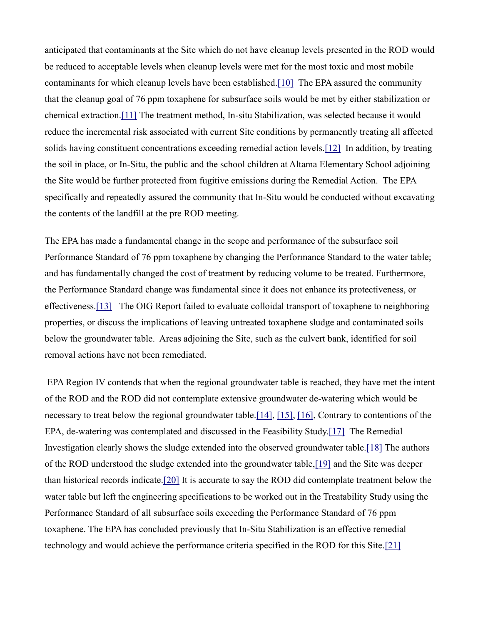anticipated that contaminants at the Site which do not have cleanup levels presented in the ROD would be reduced to acceptable levels when cleanup levels were met for the most toxic and most mobile contaminants for which cleanup levels have been established[.\[10\]](http://glynnenvironmental.org/oldsite/009IG-comments-12-19-05.htm#_edn10) The EPA assured the community that the cleanup goal of 76 ppm toxaphene for subsurface soils would be met by either stabilization or chemical extraction[.\[11\]](http://glynnenvironmental.org/oldsite/009IG-comments-12-19-05.htm#_edn11) The treatment method, In-situ Stabilization, was selected because it would reduce the incremental risk associated with current Site conditions by permanently treating all affected solids having constituent concentrations exceeding remedial action levels[.\[12\]](http://glynnenvironmental.org/oldsite/009IG-comments-12-19-05.htm#_edn12) In addition, by treating the soil in place, or In-Situ, the public and the school children at Altama Elementary School adjoining the Site would be further protected from fugitive emissions during the Remedial Action. The EPA specifically and repeatedly assured the community that In-Situ would be conducted without excavating the contents of the landfill at the pre ROD meeting.

The EPA has made a fundamental change in the scope and performance of the subsurface soil Performance Standard of 76 ppm toxaphene by changing the Performance Standard to the water table; and has fundamentally changed the cost of treatment by reducing volume to be treated. Furthermore, the Performance Standard change was fundamental since it does not enhance its protectiveness, or effectiveness[.\[13\]](http://glynnenvironmental.org/oldsite/009IG-comments-12-19-05.htm#_edn13) The OIG Report failed to evaluate colloidal transport of toxaphene to neighboring properties, or discuss the implications of leaving untreated toxaphene sludge and contaminated soils below the groundwater table. Areas adjoining the Site, such as the culvert bank, identified for soil removal actions have not been remediated.

EPA Region IV contends that when the regional groundwater table is reached, they have met the intent of the ROD and the ROD did not contemplate extensive groundwater de-watering which would be necessary to treat below the regional groundwater table[.\[14\],](http://glynnenvironmental.org/oldsite/009IG-comments-12-19-05.htm#_edn14) [\[15\],](http://glynnenvironmental.org/oldsite/009IG-comments-12-19-05.htm#_edn15) [\[16\],](http://glynnenvironmental.org/oldsite/009IG-comments-12-19-05.htm#_edn16) Contrary to contentions of the EPA, de-watering was contemplated and discussed in the Feasibility Study[.\[17\]](http://glynnenvironmental.org/oldsite/009IG-comments-12-19-05.htm#_edn17) The Remedial Investigation clearly shows the sludge extended into the observed groundwater table[.\[18\]](http://glynnenvironmental.org/oldsite/009IG-comments-12-19-05.htm#_edn18) The authors of the ROD understood the sludge extended into the groundwater table[,\[19\]](http://glynnenvironmental.org/oldsite/009IG-comments-12-19-05.htm#_edn19) and the Site was deeper than historical records indicate[.\[20\]](http://glynnenvironmental.org/oldsite/009IG-comments-12-19-05.htm#_edn20) It is accurate to say the ROD did contemplate treatment below the water table but left the engineering specifications to be worked out in the Treatability Study using the Performance Standard of all subsurface soils exceeding the Performance Standard of 76 ppm toxaphene. The EPA has concluded previously that In-Situ Stabilization is an effective remedial technology and would achieve the performance criteria specified in the ROD for this Site[.\[21\]](http://glynnenvironmental.org/oldsite/009IG-comments-12-19-05.htm#_edn21)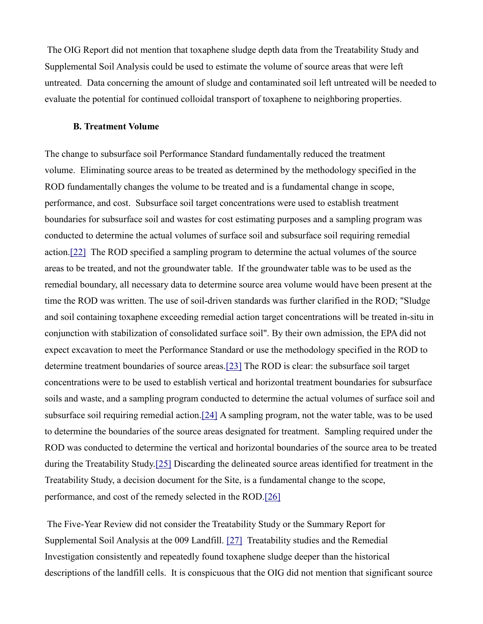The OIG Report did not mention that toxaphene sludge depth data from the Treatability Study and Supplemental Soil Analysis could be used to estimate the volume of source areas that were left untreated. Data concerning the amount of sludge and contaminated soil left untreated will be needed to evaluate the potential for continued colloidal transport of toxaphene to neighboring properties.

## **B. Treatment Volume**

The change to subsurface soil Performance Standard fundamentally reduced the treatment volume. Eliminating source areas to be treated as determined by the methodology specified in the ROD fundamentally changes the volume to be treated and is a fundamental change in scope, performance, and cost. Subsurface soil target concentrations were used to establish treatment boundaries for subsurface soil and wastes for cost estimating purposes and a sampling program was conducted to determine the actual volumes of surface soil and subsurface soil requiring remedial action[.\[22\]](http://glynnenvironmental.org/oldsite/009IG-comments-12-19-05.htm#_edn22) The ROD specified a sampling program to determine the actual volumes of the source areas to be treated, and not the groundwater table. If the groundwater table was to be used as the remedial boundary, all necessary data to determine source area volume would have been present at the time the ROD was written. The use of soil-driven standards was further clarified in the ROD; "Sludge and soil containing toxaphene exceeding remedial action target concentrations will be treated in-situ in conjunction with stabilization of consolidated surface soil". By their own admission, the EPA did not expect excavation to meet the Performance Standard or use the methodology specified in the ROD to determine treatment boundaries of source areas[.\[23\]](http://glynnenvironmental.org/oldsite/009IG-comments-12-19-05.htm#_edn23) The ROD is clear: the subsurface soil target concentrations were to be used to establish vertical and horizontal treatment boundaries for subsurface soils and waste, and a sampling program conducted to determine the actual volumes of surface soil and subsurface soil requiring remedial action[.\[24\]](http://glynnenvironmental.org/oldsite/009IG-comments-12-19-05.htm#_edn24) A sampling program, not the water table, was to be used to determine the boundaries of the source areas designated for treatment. Sampling required under the ROD was conducted to determine the vertical and horizontal boundaries of the source area to be treated during the Treatability Stud[y.\[25\]](http://glynnenvironmental.org/oldsite/009IG-comments-12-19-05.htm#_edn25) Discarding the delineated source areas identified for treatment in the Treatability Study, a decision document for the Site, is a fundamental change to the scope, performance, and cost of the remedy selected in the ROD[.\[26\]](http://glynnenvironmental.org/oldsite/009IG-comments-12-19-05.htm#_edn26)

The Five-Year Review did not consider the Treatability Study or the Summary Report for Supplemental Soil Analysis at the 009 Landfill. [\[27\]](http://glynnenvironmental.org/oldsite/009IG-comments-12-19-05.htm#_edn27) Treatability studies and the Remedial Investigation consistently and repeatedly found toxaphene sludge deeper than the historical descriptions of the landfill cells. It is conspicuous that the OIG did not mention that significant source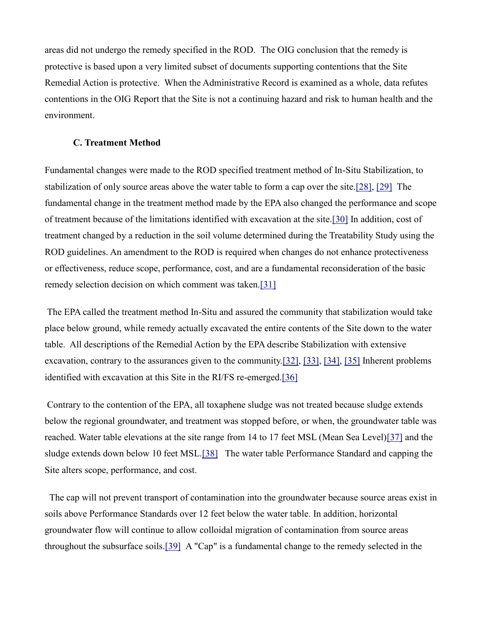areas did not undergo the remedy specified in the ROD. The OIG conclusion that the remedy is protective is based upon a very limited subset of documents supporting contentions that the Site Remedial Action is protective. When the Administrative Record is examined as a whole, data refutes contentions in the OIG Report that the Site is not a continuing hazard and risk to human health and the environment.

## **C. Treatment Method**

Fundamental changes were made to the ROD specified treatment method of In-Situ Stabilization, to stabilization of only source areas above the water table to form a cap over the site[.\[28\],](http://glynnenvironmental.org/oldsite/009IG-comments-12-19-05.htm#_edn28) [\[29\]](http://glynnenvironmental.org/oldsite/009IG-comments-12-19-05.htm#_edn29) The fundamental change in the treatment method made by the EPA also changed the performance and scope of treatment because of the limitations identified with excavation at the site[.\[30\]](http://glynnenvironmental.org/oldsite/009IG-comments-12-19-05.htm#_edn30) In addition, cost of treatment changed by a reduction in the soil volume determined during the Treatability Study using the ROD guidelines. An amendment to the ROD is required when changes do not enhance protectiveness or effectiveness, reduce scope, performance, cost, and are a fundamental reconsideration of the basic remedy selection decision on which comment was taken[.\[31\]](http://glynnenvironmental.org/oldsite/009IG-comments-12-19-05.htm#_edn31)

The EPA called the treatment method In-Situ and assured the community that stabilization would take place below ground, while remedy actually excavated the entire contents of the Site down to the water table. All descriptions of the Remedial Action by the EPA describe Stabilization with extensive excavation, contrary to the assurances given to the communit[y.\[32\],](http://glynnenvironmental.org/oldsite/009IG-comments-12-19-05.htm#_edn32) [\[33\],](http://glynnenvironmental.org/oldsite/009IG-comments-12-19-05.htm#_edn33) [\[34\],](http://glynnenvironmental.org/oldsite/009IG-comments-12-19-05.htm#_edn34) [\[35\]](http://glynnenvironmental.org/oldsite/009IG-comments-12-19-05.htm#_edn35) Inherent problems identified with excavation at this Site in the RI/FS re-emerged[.\[36\]](http://glynnenvironmental.org/oldsite/009IG-comments-12-19-05.htm#_edn36)

Contrary to the contention of the EPA, all toxaphene sludge was not treated because sludge extends below the regional groundwater, and treatment was stopped before, or when, the groundwater table was reached. Water table elevations at the site range from 14 to 17 feet MSL (Mean Sea Level[\)\[37\]](http://glynnenvironmental.org/oldsite/009IG-comments-12-19-05.htm#_edn37) and the sludge extends down below 10 feet MSL[.\[38\]](http://glynnenvironmental.org/oldsite/009IG-comments-12-19-05.htm#_edn38) The water table Performance Standard and capping the Site alters scope, performance, and cost.

The cap will not prevent transport of contamination into the groundwater because source areas exist in soils above Performance Standards over 12 feet below the water table. In addition, horizontal groundwater flow will continue to allow colloidal migration of contamination from source areas throughout the subsurface soils[.\[39\]](http://glynnenvironmental.org/oldsite/009IG-comments-12-19-05.htm#_edn39) A "Cap" is a fundamental change to the remedy selected in the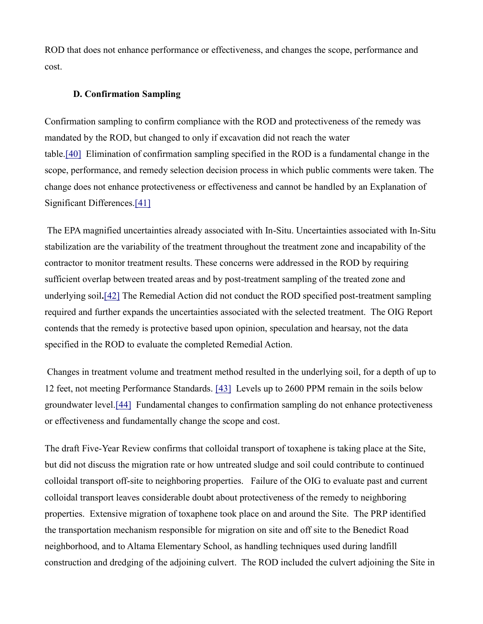ROD that does not enhance performance or effectiveness, and changes the scope, performance and cost.

#### **D. Confirmation Sampling**

Confirmation sampling to confirm compliance with the ROD and protectiveness of the remedy was mandated by the ROD, but changed to only if excavation did not reach the water table[.\[40\]](http://glynnenvironmental.org/oldsite/009IG-comments-12-19-05.htm#_edn40) Elimination of confirmation sampling specified in the ROD is a fundamental change in the scope, performance, and remedy selection decision process in which public comments were taken. The change does not enhance protectiveness or effectiveness and cannot be handled by an Explanation of Significant Differences[.\[41\]](http://glynnenvironmental.org/oldsite/009IG-comments-12-19-05.htm#_edn41)

The EPA magnified uncertainties already associated with In-Situ. Uncertainties associated with In-Situ stabilization are the variability of the treatment throughout the treatment zone and incapability of the contractor to monitor treatment results. These concerns were addressed in the ROD by requiring sufficient overlap between treated areas and by post-treatment sampling of the treated zone and underlying soil**.**[\[42\]](http://glynnenvironmental.org/oldsite/009IG-comments-12-19-05.htm#_edn42) The Remedial Action did not conduct the ROD specified post-treatment sampling required and further expands the uncertainties associated with the selected treatment. The OIG Report contends that the remedy is protective based upon opinion, speculation and hearsay, not the data specified in the ROD to evaluate the completed Remedial Action.

Changes in treatment volume and treatment method resulted in the underlying soil, for a depth of up to 12 feet, not meeting Performance Standards. [\[43\]](http://glynnenvironmental.org/oldsite/009IG-comments-12-19-05.htm#_edn43) Levels up to 2600 PPM remain in the soils below groundwater level[.\[44\]](http://glynnenvironmental.org/oldsite/009IG-comments-12-19-05.htm#_edn44) Fundamental changes to confirmation sampling do not enhance protectiveness or effectiveness and fundamentally change the scope and cost.

The draft Five-Year Review confirms that colloidal transport of toxaphene is taking place at the Site, but did not discuss the migration rate or how untreated sludge and soil could contribute to continued colloidal transport off-site to neighboring properties. Failure of the OIG to evaluate past and current colloidal transport leaves considerable doubt about protectiveness of the remedy to neighboring properties. Extensive migration of toxaphene took place on and around the Site. The PRP identified the transportation mechanism responsible for migration on site and off site to the Benedict Road neighborhood, and to Altama Elementary School, as handling techniques used during landfill construction and dredging of the adjoining culvert. The ROD included the culvert adjoining the Site in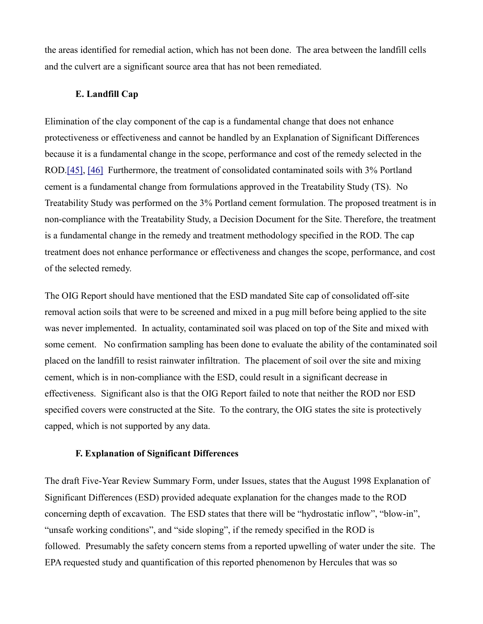the areas identified for remedial action, which has not been done. The area between the landfill cells and the culvert are a significant source area that has not been remediated.

### **E. Landfill Cap**

Elimination of the clay component of the cap is a fundamental change that does not enhance protectiveness or effectiveness and cannot be handled by an Explanation of Significant Differences because it is a fundamental change in the scope, performance and cost of the remedy selected in the ROD[.\[45\],](http://glynnenvironmental.org/oldsite/009IG-comments-12-19-05.htm#_edn45) [\[46\]](http://glynnenvironmental.org/oldsite/009IG-comments-12-19-05.htm#_edn46) Furthermore, the treatment of consolidated contaminated soils with 3% Portland cement is a fundamental change from formulations approved in the Treatability Study (TS). No Treatability Study was performed on the 3% Portland cement formulation. The proposed treatment is in non-compliance with the Treatability Study, a Decision Document for the Site. Therefore, the treatment is a fundamental change in the remedy and treatment methodology specified in the ROD. The cap treatment does not enhance performance or effectiveness and changes the scope, performance, and cost of the selected remedy.

The OIG Report should have mentioned that the ESD mandated Site cap of consolidated off-site removal action soils that were to be screened and mixed in a pug mill before being applied to the site was never implemented. In actuality, contaminated soil was placed on top of the Site and mixed with some cement. No confirmation sampling has been done to evaluate the ability of the contaminated soil placed on the landfill to resist rainwater infiltration. The placement of soil over the site and mixing cement, which is in non-compliance with the ESD, could result in a significant decrease in effectiveness. Significant also is that the OIG Report failed to note that neither the ROD nor ESD specified covers were constructed at the Site. To the contrary, the OIG states the site is protectively capped, which is not supported by any data.

#### **F. Explanation of Significant Differences**

The draft Five-Year Review Summary Form, under Issues, states that the August 1998 Explanation of Significant Differences (ESD) provided adequate explanation for the changes made to the ROD concerning depth of excavation. The ESD states that there will be "hydrostatic inflow", "blow-in", "unsafe working conditions", and "side sloping", if the remedy specified in the ROD is followed. Presumably the safety concern stems from a reported upwelling of water under the site. The EPA requested study and quantification of this reported phenomenon by Hercules that was so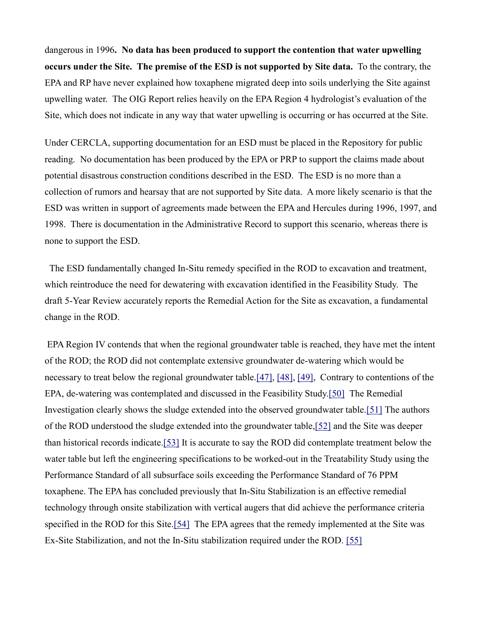dangerous in 1996**. No data has been produced to support the contention that water upwelling occurs under the Site. The premise of the ESD is not supported by Site data.** To the contrary, the EPA and RP have never explained how toxaphene migrated deep into soils underlying the Site against upwelling water. The OIG Report relies heavily on the EPA Region 4 hydrologist's evaluation of the Site, which does not indicate in any way that water upwelling is occurring or has occurred at the Site.

Under CERCLA, supporting documentation for an ESD must be placed in the Repository for public reading. No documentation has been produced by the EPA or PRP to support the claims made about potential disastrous construction conditions described in the ESD. The ESD is no more than a collection of rumors and hearsay that are not supported by Site data. A more likely scenario is that the ESD was written in support of agreements made between the EPA and Hercules during 1996, 1997, and 1998. There is documentation in the Administrative Record to support this scenario, whereas there is none to support the ESD.

The ESD fundamentally changed In-Situ remedy specified in the ROD to excavation and treatment, which reintroduce the need for dewatering with excavation identified in the Feasibility Study. The draft 5-Year Review accurately reports the Remedial Action for the Site as excavation, a fundamental change in the ROD.

EPA Region IV contends that when the regional groundwater table is reached, they have met the intent of the ROD; the ROD did not contemplate extensive groundwater de-watering which would be necessary to treat below the regional groundwater table[.\[47\],](http://glynnenvironmental.org/oldsite/009IG-comments-12-19-05.htm#_edn47) [\[48\],](http://glynnenvironmental.org/oldsite/009IG-comments-12-19-05.htm#_edn48) [\[49\],](http://glynnenvironmental.org/oldsite/009IG-comments-12-19-05.htm#_edn49) Contrary to contentions of the EPA, de-watering was contemplated and discussed in the Feasibility Study[.\[50\]](http://glynnenvironmental.org/oldsite/009IG-comments-12-19-05.htm#_edn50) The Remedial Investigation clearly shows the sludge extended into the observed groundwater table[.\[51\]](http://glynnenvironmental.org/oldsite/009IG-comments-12-19-05.htm#_edn51) The authors of the ROD understood the sludge extended into the groundwater table[,\[52\]](http://glynnenvironmental.org/oldsite/009IG-comments-12-19-05.htm#_edn52) and the Site was deeper than historical records indicate[.\[53\]](http://glynnenvironmental.org/oldsite/009IG-comments-12-19-05.htm#_edn53) It is accurate to say the ROD did contemplate treatment below the water table but left the engineering specifications to be worked-out in the Treatability Study using the Performance Standard of all subsurface soils exceeding the Performance Standard of 76 PPM toxaphene. The EPA has concluded previously that In-Situ Stabilization is an effective remedial technology through onsite stabilization with vertical augers that did achieve the performance criteria specified in the ROD for this Site[.\[54\]](http://glynnenvironmental.org/oldsite/009IG-comments-12-19-05.htm#_edn54) The EPA agrees that the remedy implemented at the Site was Ex-Site Stabilization, and not the In-Situ stabilization required under the ROD. [\[55\]](http://glynnenvironmental.org/oldsite/009IG-comments-12-19-05.htm#_edn55)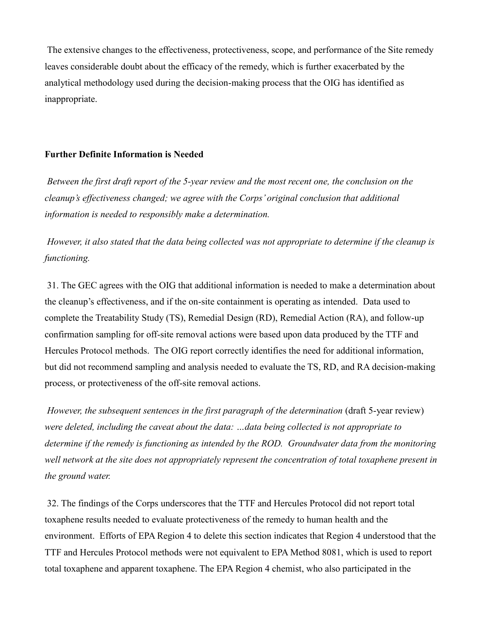The extensive changes to the effectiveness, protectiveness, scope, and performance of the Site remedy leaves considerable doubt about the efficacy of the remedy, which is further exacerbated by the analytical methodology used during the decision-making process that the OIG has identified as inappropriate.

## **Further Definite Information is Needed**

*Between the first draft report of the 5-year review and the most recent one, the conclusion on the cleanup's effectiveness changed; we agree with the Corps' original conclusion that additional information is needed to responsibly make a determination.*

*However, it also stated that the data being collected was not appropriate to determine if the cleanup is functioning.*

31. The GEC agrees with the OIG that additional information is needed to make a determination about the cleanup's effectiveness, and if the on-site containment is operating as intended. Data used to complete the Treatability Study (TS), Remedial Design (RD), Remedial Action (RA), and follow-up confirmation sampling for off-site removal actions were based upon data produced by the TTF and Hercules Protocol methods. The OIG report correctly identifies the need for additional information, but did not recommend sampling and analysis needed to evaluate the TS, RD, and RA decision-making process, or protectiveness of the off-site removal actions.

*However, the subsequent sentences in the first paragraph of the determination* (draft 5-year review) *were deleted, including the caveat about the data: …data being collected is not appropriate to determine if the remedy is functioning as intended by the ROD. Groundwater data from the monitoring well network at the site does not appropriately represent the concentration of total toxaphene present in the ground water.*

32. The findings of the Corps underscores that the TTF and Hercules Protocol did not report total toxaphene results needed to evaluate protectiveness of the remedy to human health and the environment. Efforts of EPA Region 4 to delete this section indicates that Region 4 understood that the TTF and Hercules Protocol methods were not equivalent to EPA Method 8081, which is used to report total toxaphene and apparent toxaphene. The EPA Region 4 chemist, who also participated in the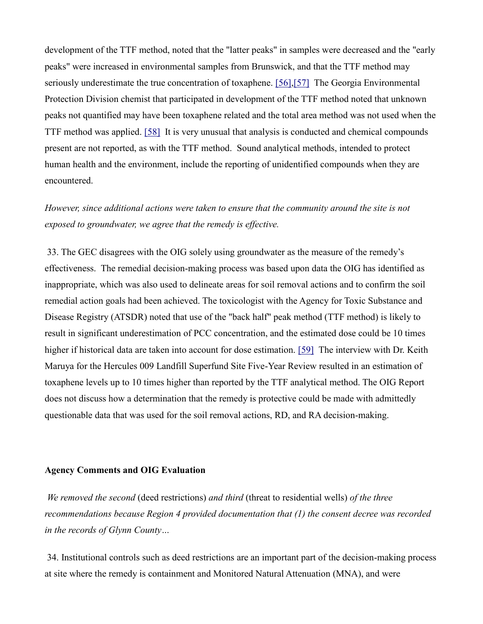development of the TTF method, noted that the "latter peaks" in samples were decreased and the "early peaks" were increased in environmental samples from Brunswick, and that the TTF method may seriously underestimate the true concentration of toxaphene. [\[56\],](http://glynnenvironmental.org/oldsite/009IG-comments-12-19-05.htm#_edn56)[\[57\]](http://glynnenvironmental.org/oldsite/009IG-comments-12-19-05.htm#_edn57) The Georgia Environmental Protection Division chemist that participated in development of the TTF method noted that unknown peaks not quantified may have been toxaphene related and the total area method was not used when the TTF method was applied. [\[58\]](http://glynnenvironmental.org/oldsite/009IG-comments-12-19-05.htm#_edn58) It is very unusual that analysis is conducted and chemical compounds present are not reported, as with the TTF method. Sound analytical methods, intended to protect human health and the environment, include the reporting of unidentified compounds when they are encountered.

*However, since additional actions were taken to ensure that the community around the site is not exposed to groundwater, we agree that the remedy is effective.*

33. The GEC disagrees with the OIG solely using groundwater as the measure of the remedy's effectiveness. The remedial decision-making process was based upon data the OIG has identified as inappropriate, which was also used to delineate areas for soil removal actions and to confirm the soil remedial action goals had been achieved. The toxicologist with the Agency for Toxic Substance and Disease Registry (ATSDR) noted that use of the "back half" peak method (TTF method) is likely to result in significant underestimation of PCC concentration, and the estimated dose could be 10 times higher if historical data are taken into account for dose estimation. [\[59\]](http://glynnenvironmental.org/oldsite/009IG-comments-12-19-05.htm#_edn59) The interview with Dr. Keith Maruya for the Hercules 009 Landfill Superfund Site Five-Year Review resulted in an estimation of toxaphene levels up to 10 times higher than reported by the TTF analytical method. The OIG Report does not discuss how a determination that the remedy is protective could be made with admittedly questionable data that was used for the soil removal actions, RD, and RA decision-making.

#### **Agency Comments and OIG Evaluation**

*We removed the second* (deed restrictions) *and third* (threat to residential wells) *of the three recommendations because Region 4 provided documentation that (1) the consent decree was recorded in the records of Glynn County…*

34. Institutional controls such as deed restrictions are an important part of the decision-making process at site where the remedy is containment and Monitored Natural Attenuation (MNA), and were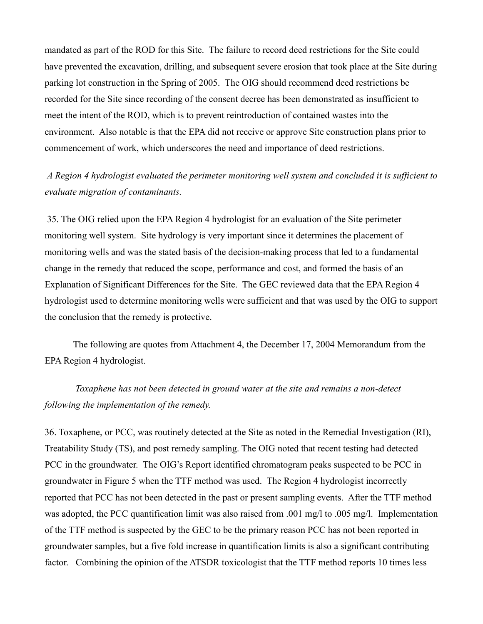mandated as part of the ROD for this Site. The failure to record deed restrictions for the Site could have prevented the excavation, drilling, and subsequent severe erosion that took place at the Site during parking lot construction in the Spring of 2005. The OIG should recommend deed restrictions be recorded for the Site since recording of the consent decree has been demonstrated as insufficient to meet the intent of the ROD, which is to prevent reintroduction of contained wastes into the environment. Also notable is that the EPA did not receive or approve Site construction plans prior to commencement of work, which underscores the need and importance of deed restrictions.

# *A Region 4 hydrologist evaluated the perimeter monitoring well system and concluded it is sufficient to evaluate migration of contaminants.*

35. The OIG relied upon the EPA Region 4 hydrologist for an evaluation of the Site perimeter monitoring well system. Site hydrology is very important since it determines the placement of monitoring wells and was the stated basis of the decision-making process that led to a fundamental change in the remedy that reduced the scope, performance and cost, and formed the basis of an Explanation of Significant Differences for the Site. The GEC reviewed data that the EPA Region 4 hydrologist used to determine monitoring wells were sufficient and that was used by the OIG to support the conclusion that the remedy is protective.

The following are quotes from Attachment 4, the December 17, 2004 Memorandum from the EPA Region 4 hydrologist.

# *Toxaphene has not been detected in ground water at the site and remains a non-detect following the implementation of the remedy.*

36. Toxaphene, or PCC, was routinely detected at the Site as noted in the Remedial Investigation (RI), Treatability Study (TS), and post remedy sampling. The OIG noted that recent testing had detected PCC in the groundwater. The OIG's Report identified chromatogram peaks suspected to be PCC in groundwater in Figure 5 when the TTF method was used. The Region 4 hydrologist incorrectly reported that PCC has not been detected in the past or present sampling events. After the TTF method was adopted, the PCC quantification limit was also raised from .001 mg/l to .005 mg/l. Implementation of the TTF method is suspected by the GEC to be the primary reason PCC has not been reported in groundwater samples, but a five fold increase in quantification limits is also a significant contributing factor. Combining the opinion of the ATSDR toxicologist that the TTF method reports 10 times less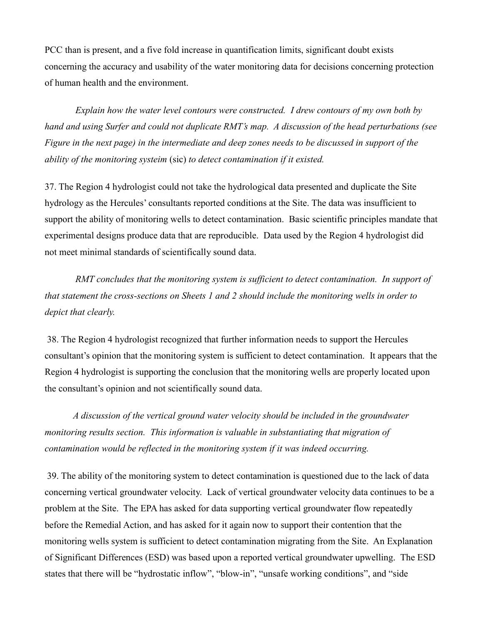PCC than is present, and a five fold increase in quantification limits, significant doubt exists concerning the accuracy and usability of the water monitoring data for decisions concerning protection of human health and the environment.

*Explain how the water level contours were constructed. I drew contours of my own both by hand and using Surfer and could not duplicate RMT's map. A discussion of the head perturbations (see Figure in the next page) in the intermediate and deep zones needs to be discussed in support of the ability of the monitoring systeim* (sic) *to detect contamination if it existed.*

37. The Region 4 hydrologist could not take the hydrological data presented and duplicate the Site hydrology as the Hercules' consultants reported conditions at the Site. The data was insufficient to support the ability of monitoring wells to detect contamination. Basic scientific principles mandate that experimental designs produce data that are reproducible. Data used by the Region 4 hydrologist did not meet minimal standards of scientifically sound data.

*RMT concludes that the monitoring system is sufficient to detect contamination. In support of that statement the cross-sections on Sheets 1 and 2 should include the monitoring wells in order to depict that clearly.*

38. The Region 4 hydrologist recognized that further information needs to support the Hercules consultant's opinion that the monitoring system is sufficient to detect contamination. It appears that the Region 4 hydrologist is supporting the conclusion that the monitoring wells are properly located upon the consultant's opinion and not scientifically sound data.

*A discussion of the vertical ground water velocity should be included in the groundwater monitoring results section. This information is valuable in substantiating that migration of contamination would be reflected in the monitoring system if it was indeed occurring.*

39. The ability of the monitoring system to detect contamination is questioned due to the lack of data concerning vertical groundwater velocity. Lack of vertical groundwater velocity data continues to be a problem at the Site. The EPA has asked for data supporting vertical groundwater flow repeatedly before the Remedial Action, and has asked for it again now to support their contention that the monitoring wells system is sufficient to detect contamination migrating from the Site. An Explanation of Significant Differences (ESD) was based upon a reported vertical groundwater upwelling. The ESD states that there will be "hydrostatic inflow", "blow-in", "unsafe working conditions", and "side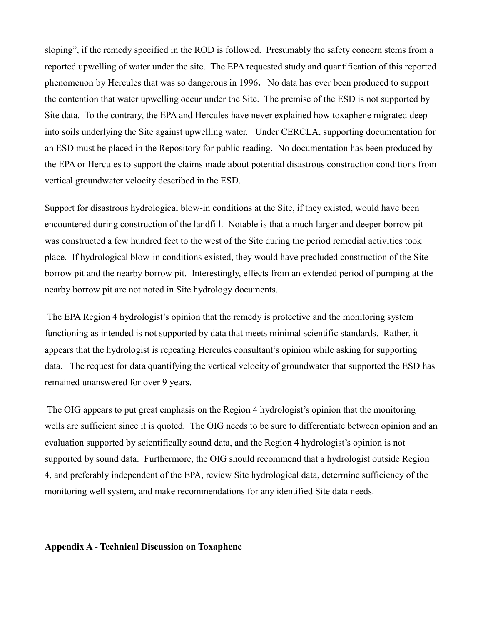sloping", if the remedy specified in the ROD is followed. Presumably the safety concern stems from a reported upwelling of water under the site. The EPA requested study and quantification of this reported phenomenon by Hercules that was so dangerous in 1996**.** No data has ever been produced to support the contention that water upwelling occur under the Site. The premise of the ESD is not supported by Site data. To the contrary, the EPA and Hercules have never explained how toxaphene migrated deep into soils underlying the Site against upwelling water. Under CERCLA, supporting documentation for an ESD must be placed in the Repository for public reading. No documentation has been produced by the EPA or Hercules to support the claims made about potential disastrous construction conditions from vertical groundwater velocity described in the ESD.

Support for disastrous hydrological blow-in conditions at the Site, if they existed, would have been encountered during construction of the landfill. Notable is that a much larger and deeper borrow pit was constructed a few hundred feet to the west of the Site during the period remedial activities took place. If hydrological blow-in conditions existed, they would have precluded construction of the Site borrow pit and the nearby borrow pit. Interestingly, effects from an extended period of pumping at the nearby borrow pit are not noted in Site hydrology documents.

The EPA Region 4 hydrologist's opinion that the remedy is protective and the monitoring system functioning as intended is not supported by data that meets minimal scientific standards. Rather, it appears that the hydrologist is repeating Hercules consultant's opinion while asking for supporting data. The request for data quantifying the vertical velocity of groundwater that supported the ESD has remained unanswered for over 9 years.

The OIG appears to put great emphasis on the Region 4 hydrologist's opinion that the monitoring wells are sufficient since it is quoted. The OIG needs to be sure to differentiate between opinion and an evaluation supported by scientifically sound data, and the Region 4 hydrologist's opinion is not supported by sound data. Furthermore, the OIG should recommend that a hydrologist outside Region 4, and preferably independent of the EPA, review Site hydrological data, determine sufficiency of the monitoring well system, and make recommendations for any identified Site data needs.

**Appendix A - Technical Discussion on Toxaphene**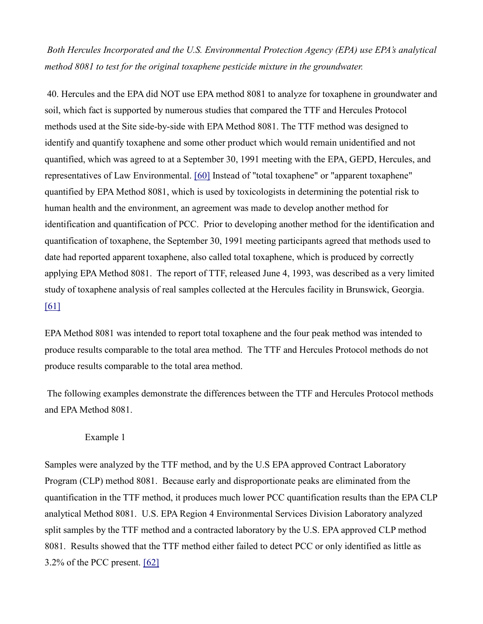*Both Hercules Incorporated and the U.S. Environmental Protection Agency (EPA) use EPA's analytical method 8081 to test for the original toxaphene pesticide mixture in the groundwater.*

40. Hercules and the EPA did NOT use EPA method 8081 to analyze for toxaphene in groundwater and soil, which fact is supported by numerous studies that compared the TTF and Hercules Protocol methods used at the Site side-by-side with EPA Method 8081. The TTF method was designed to identify and quantify toxaphene and some other product which would remain unidentified and not quantified, which was agreed to at a September 30, 1991 meeting with the EPA, GEPD, Hercules, and representatives of Law Environmental. [\[60\]](http://glynnenvironmental.org/oldsite/009IG-comments-12-19-05.htm#_edn60) Instead of "total toxaphene" or "apparent toxaphene" quantified by EPA Method 8081, which is used by toxicologists in determining the potential risk to human health and the environment, an agreement was made to develop another method for identification and quantification of PCC. Prior to developing another method for the identification and quantification of toxaphene, the September 30, 1991 meeting participants agreed that methods used to date had reported apparent toxaphene, also called total toxaphene, which is produced by correctly applying EPA Method 8081. The report of TTF, released June 4, 1993, was described as a very limited study of toxaphene analysis of real samples collected at the Hercules facility in Brunswick, Georgia. [\[61\]](http://glynnenvironmental.org/oldsite/009IG-comments-12-19-05.htm#_edn61)

EPA Method 8081 was intended to report total toxaphene and the four peak method was intended to produce results comparable to the total area method. The TTF and Hercules Protocol methods do not produce results comparable to the total area method.

The following examples demonstrate the differences between the TTF and Hercules Protocol methods and EPA Method 8081.

#### Example 1

Samples were analyzed by the TTF method, and by the U.S EPA approved Contract Laboratory Program (CLP) method 8081. Because early and disproportionate peaks are eliminated from the quantification in the TTF method, it produces much lower PCC quantification results than the EPA CLP analytical Method 8081. U.S. EPA Region 4 Environmental Services Division Laboratory analyzed split samples by the TTF method and a contracted laboratory by the U.S. EPA approved CLP method 8081. Results showed that the TTF method either failed to detect PCC or only identified as little as 3.2% of the PCC present. [\[62\]](http://glynnenvironmental.org/oldsite/009IG-comments-12-19-05.htm#_edn62)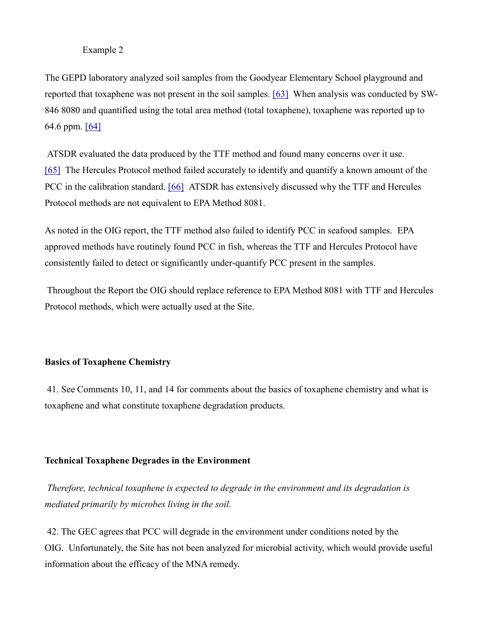## Example 2

The GEPD laboratory analyzed soil samples from the Goodyear Elementary School playground and reported that toxaphene was not present in the soil samples. [\[63\]](http://glynnenvironmental.org/oldsite/009IG-comments-12-19-05.htm#_edn63) When analysis was conducted by SW-846 8080 and quantified using the total area method (total toxaphene), toxaphene was reported up to 64.6 ppm. [\[64\]](http://glynnenvironmental.org/oldsite/009IG-comments-12-19-05.htm#_edn64)

ATSDR evaluated the data produced by the TTF method and found many concerns over it use. [\[65\]](http://glynnenvironmental.org/oldsite/009IG-comments-12-19-05.htm#_edn65) The Hercules Protocol method failed accurately to identify and quantify a known amount of the PCC in the calibration standard. [\[66\]](http://glynnenvironmental.org/oldsite/009IG-comments-12-19-05.htm#_edn66) ATSDR has extensively discussed why the TTF and Hercules Protocol methods are not equivalent to EPA Method 8081.

As noted in the OIG report, the TTF method also failed to identify PCC in seafood samples. EPA approved methods have routinely found PCC in fish, whereas the TTF and Hercules Protocol have consistently failed to detect or significantly under-quantify PCC present in the samples.

Throughout the Report the OIG should replace reference to EPA Method 8081 with TTF and Hercules Protocol methods, which were actually used at the Site.

## **Basics of Toxaphene Chemistry**

41. See Comments 10, 11, and 14 for comments about the basics of toxaphene chemistry and what is toxaphene and what constitute toxaphene degradation products.

#### **Technical Toxaphene Degrades in the Environment**

*Therefore, technical toxaphene is expected to degrade in the environment and its degradation is mediated primarily by microbes living in the soil.*

42. The GEC agrees that PCC will degrade in the environment under conditions noted by the OIG. Unfortunately, the Site has not been analyzed for microbial activity, which would provide useful information about the efficacy of the MNA remedy.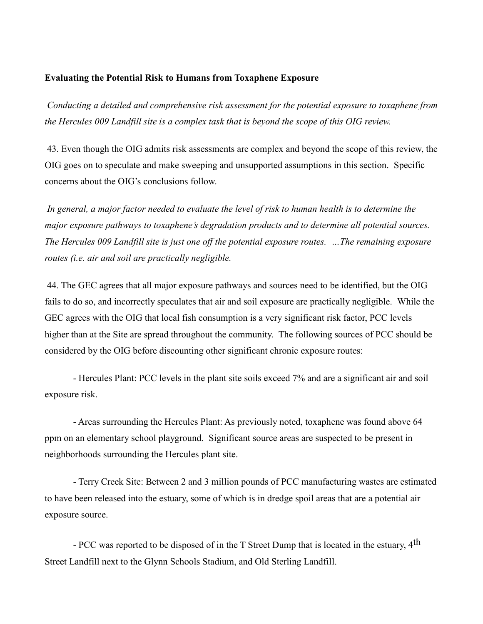### **Evaluating the Potential Risk to Humans from Toxaphene Exposure**

*Conducting a detailed and comprehensive risk assessment for the potential exposure to toxaphene from the Hercules 009 Landfill site is a complex task that is beyond the scope of this OIG review.*

43. Even though the OIG admits risk assessments are complex and beyond the scope of this review, the OIG goes on to speculate and make sweeping and unsupported assumptions in this section. Specific concerns about the OIG's conclusions follow.

*In general, a major factor needed to evaluate the level of risk to human health is to determine the major exposure pathways to toxaphene's degradation products and to determine all potential sources. The Hercules 009 Landfill site is just one off the potential exposure routes. …The remaining exposure routes (i.e. air and soil are practically negligible.*

44. The GEC agrees that all major exposure pathways and sources need to be identified, but the OIG fails to do so, and incorrectly speculates that air and soil exposure are practically negligible. While the GEC agrees with the OIG that local fish consumption is a very significant risk factor, PCC levels higher than at the Site are spread throughout the community. The following sources of PCC should be considered by the OIG before discounting other significant chronic exposure routes:

- Hercules Plant: PCC levels in the plant site soils exceed 7% and are a significant air and soil exposure risk.

- Areas surrounding the Hercules Plant: As previously noted, toxaphene was found above 64 ppm on an elementary school playground. Significant source areas are suspected to be present in neighborhoods surrounding the Hercules plant site.

- Terry Creek Site: Between 2 and 3 million pounds of PCC manufacturing wastes are estimated to have been released into the estuary, some of which is in dredge spoil areas that are a potential air exposure source.

- PCC was reported to be disposed of in the T Street Dump that is located in the estuary, 4<sup>th</sup> Street Landfill next to the Glynn Schools Stadium, and Old Sterling Landfill.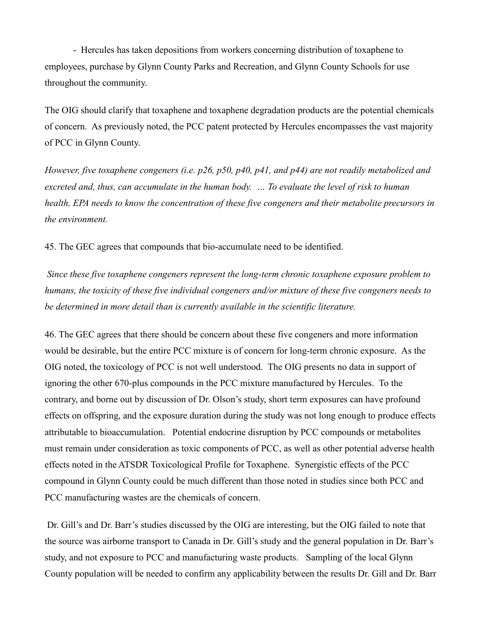- Hercules has taken depositions from workers concerning distribution of toxaphene to employees, purchase by Glynn County Parks and Recreation, and Glynn County Schools for use throughout the community.

The OIG should clarify that toxaphene and toxaphene degradation products are the potential chemicals of concern. As previously noted, the PCC patent protected by Hercules encompasses the vast majority of PCC in Glynn County.

*However, five toxaphene congeners (i.e. p26, p50, p40, p41, and p44) are not readily metabolized and excreted and, thus, can accumulate in the human body. … To evaluate the level of risk to human health, EPA needs to know the concentration of these five congeners and their metabolite precursors in the environment.*

45. The GEC agrees that compounds that bio-accumulate need to be identified.

*Since these five toxaphene congeners represent the long-term chronic toxaphene exposure problem to humans, the toxicity of these five individual congeners and/or mixture of these five congeners needs to be determined in more detail than is currently available in the scientific literature.*

46. The GEC agrees that there should be concern about these five congeners and more information would be desirable, but the entire PCC mixture is of concern for long-term chronic exposure. As the OIG noted, the toxicology of PCC is not well understood. The OIG presents no data in support of ignoring the other 670-plus compounds in the PCC mixture manufactured by Hercules. To the contrary, and borne out by discussion of Dr. Olson's study, short term exposures can have profound effects on offspring, and the exposure duration during the study was not long enough to produce effects attributable to bioaccumulation. Potential endocrine disruption by PCC compounds or metabolites must remain under consideration as toxic components of PCC, as well as other potential adverse health effects noted in the ATSDR Toxicological Profile for Toxaphene. Synergistic effects of the PCC compound in Glynn County could be much different than those noted in studies since both PCC and PCC manufacturing wastes are the chemicals of concern.

Dr. Gill's and Dr. Barr's studies discussed by the OIG are interesting, but the OIG failed to note that the source was airborne transport to Canada in Dr. Gill's study and the general population in Dr. Barr's study, and not exposure to PCC and manufacturing waste products. Sampling of the local Glynn County population will be needed to confirm any applicability between the results Dr. Gill and Dr. Barr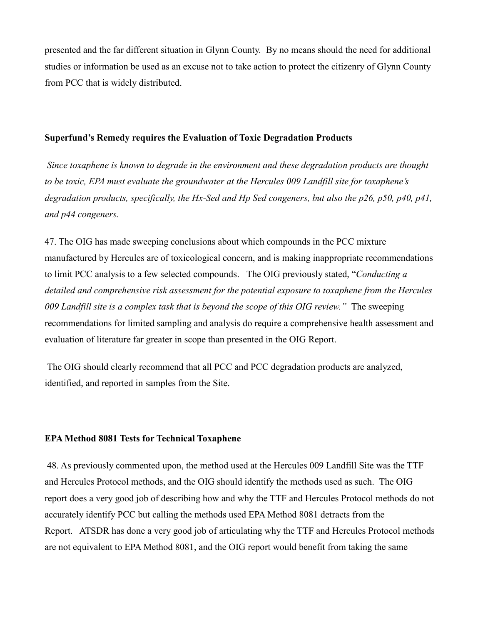presented and the far different situation in Glynn County. By no means should the need for additional studies or information be used as an excuse not to take action to protect the citizenry of Glynn County from PCC that is widely distributed.

#### **Superfund's Remedy requires the Evaluation of Toxic Degradation Products**

*Since toxaphene is known to degrade in the environment and these degradation products are thought to be toxic, EPA must evaluate the groundwater at the Hercules 009 Landfill site for toxaphene's degradation products, specifically, the Hx-Sed and Hp Sed congeners, but also the p26, p50, p40, p41, and p44 congeners.*

47. The OIG has made sweeping conclusions about which compounds in the PCC mixture manufactured by Hercules are of toxicological concern, and is making inappropriate recommendations to limit PCC analysis to a few selected compounds. The OIG previously stated, "*Conducting a detailed and comprehensive risk assessment for the potential exposure to toxaphene from the Hercules 009 Landfill site is a complex task that is beyond the scope of this OIG review."* The sweeping recommendations for limited sampling and analysis do require a comprehensive health assessment and evaluation of literature far greater in scope than presented in the OIG Report.

The OIG should clearly recommend that all PCC and PCC degradation products are analyzed, identified, and reported in samples from the Site.

## **EPA Method 8081 Tests for Technical Toxaphene**

48. As previously commented upon, the method used at the Hercules 009 Landfill Site was the TTF and Hercules Protocol methods, and the OIG should identify the methods used as such. The OIG report does a very good job of describing how and why the TTF and Hercules Protocol methods do not accurately identify PCC but calling the methods used EPA Method 8081 detracts from the Report. ATSDR has done a very good job of articulating why the TTF and Hercules Protocol methods are not equivalent to EPA Method 8081, and the OIG report would benefit from taking the same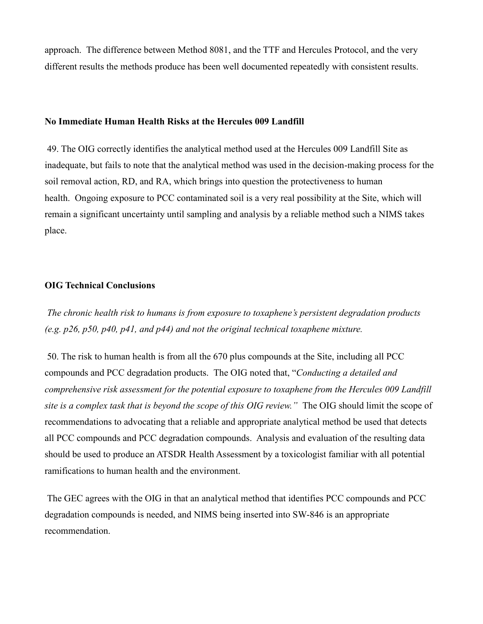approach. The difference between Method 8081, and the TTF and Hercules Protocol, and the very different results the methods produce has been well documented repeatedly with consistent results.

## **No Immediate Human Health Risks at the Hercules 009 Landfill**

49. The OIG correctly identifies the analytical method used at the Hercules 009 Landfill Site as inadequate, but fails to note that the analytical method was used in the decision-making process for the soil removal action, RD, and RA, which brings into question the protectiveness to human health. Ongoing exposure to PCC contaminated soil is a very real possibility at the Site, which will remain a significant uncertainty until sampling and analysis by a reliable method such a NIMS takes place.

#### **OIG Technical Conclusions**

*The chronic health risk to humans is from exposure to toxaphene's persistent degradation products (e.g. p26, p50, p40, p41, and p44) and not the original technical toxaphene mixture.*

50. The risk to human health is from all the 670 plus compounds at the Site, including all PCC compounds and PCC degradation products. The OIG noted that, "*Conducting a detailed and comprehensive risk assessment for the potential exposure to toxaphene from the Hercules 009 Landfill site is a complex task that is beyond the scope of this OIG review."* The OIG should limit the scope of recommendations to advocating that a reliable and appropriate analytical method be used that detects all PCC compounds and PCC degradation compounds. Analysis and evaluation of the resulting data should be used to produce an ATSDR Health Assessment by a toxicologist familiar with all potential ramifications to human health and the environment.

The GEC agrees with the OIG in that an analytical method that identifies PCC compounds and PCC degradation compounds is needed, and NIMS being inserted into SW-846 is an appropriate recommendation.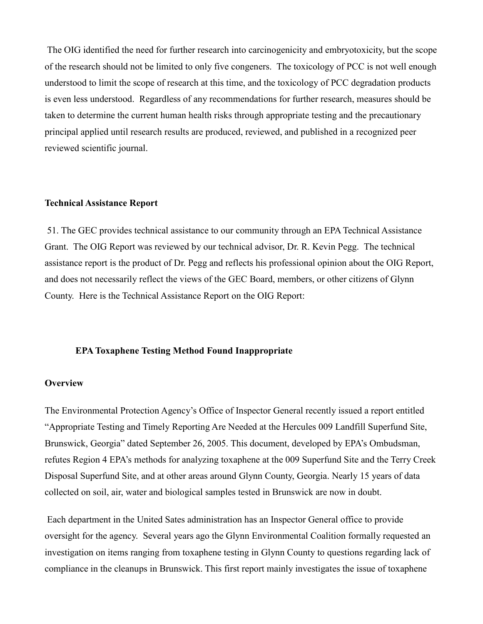The OIG identified the need for further research into carcinogenicity and embryotoxicity, but the scope of the research should not be limited to only five congeners. The toxicology of PCC is not well enough understood to limit the scope of research at this time, and the toxicology of PCC degradation products is even less understood. Regardless of any recommendations for further research, measures should be taken to determine the current human health risks through appropriate testing and the precautionary principal applied until research results are produced, reviewed, and published in a recognized peer reviewed scientific journal.

#### **Technical Assistance Report**

51. The GEC provides technical assistance to our community through an EPA Technical Assistance Grant. The OIG Report was reviewed by our technical advisor, Dr. R. Kevin Pegg. The technical assistance report is the product of Dr. Pegg and reflects his professional opinion about the OIG Report, and does not necessarily reflect the views of the GEC Board, members, or other citizens of Glynn County. Here is the Technical Assistance Report on the OIG Report:

#### **EPA Toxaphene Testing Method Found Inappropriate**

## **Overview**

The Environmental Protection Agency's Office of Inspector General recently issued a report entitled "Appropriate Testing and Timely Reporting Are Needed at the Hercules 009 Landfill Superfund Site, Brunswick, Georgia" dated September 26, 2005. This document, developed by EPA's Ombudsman, refutes Region 4 EPA's methods for analyzing toxaphene at the 009 Superfund Site and the Terry Creek Disposal Superfund Site, and at other areas around Glynn County, Georgia. Nearly 15 years of data collected on soil, air, water and biological samples tested in Brunswick are now in doubt.

Each department in the United Sates administration has an Inspector General office to provide oversight for the agency. Several years ago the Glynn Environmental Coalition formally requested an investigation on items ranging from toxaphene testing in Glynn County to questions regarding lack of compliance in the cleanups in Brunswick. This first report mainly investigates the issue of toxaphene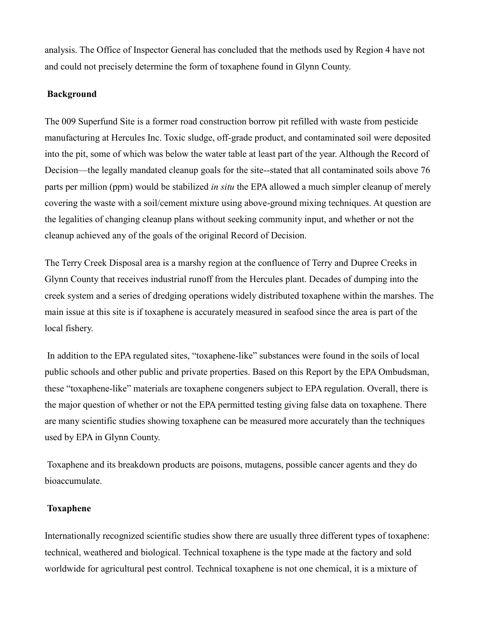analysis. The Office of Inspector General has concluded that the methods used by Region 4 have not and could not precisely determine the form of toxaphene found in Glynn County.

## **Background**

The 009 Superfund Site is a former road construction borrow pit refilled with waste from pesticide manufacturing at Hercules Inc. Toxic sludge, off-grade product, and contaminated soil were deposited into the pit, some of which was below the water table at least part of the year. Although the Record of Decision—the legally mandated cleanup goals for the site--stated that all contaminated soils above 76 parts per million (ppm) would be stabilized *in situ* the EPA allowed a much simpler cleanup of merely covering the waste with a soil/cement mixture using above-ground mixing techniques. At question are the legalities of changing cleanup plans without seeking community input, and whether or not the cleanup achieved any of the goals of the original Record of Decision.

The Terry Creek Disposal area is a marshy region at the confluence of Terry and Dupree Creeks in Glynn County that receives industrial runoff from the Hercules plant. Decades of dumping into the creek system and a series of dredging operations widely distributed toxaphene within the marshes. The main issue at this site is if toxaphene is accurately measured in seafood since the area is part of the local fishery.

In addition to the EPA regulated sites, "toxaphene-like" substances were found in the soils of local public schools and other public and private properties. Based on this Report by the EPA Ombudsman, these "toxaphene-like" materials are toxaphene congeners subject to EPA regulation. Overall, there is the major question of whether or not the EPA permitted testing giving false data on toxaphene. There are many scientific studies showing toxaphene can be measured more accurately than the techniques used by EPA in Glynn County.

Toxaphene and its breakdown products are poisons, mutagens, possible cancer agents and they do bioaccumulate.

## **Toxaphene**

Internationally recognized scientific studies show there are usually three different types of toxaphene: technical, weathered and biological. Technical toxaphene is the type made at the factory and sold worldwide for agricultural pest control. Technical toxaphene is not one chemical, it is a mixture of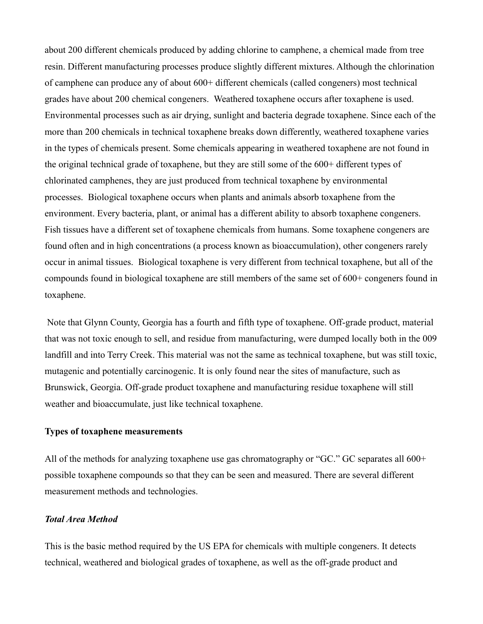about 200 different chemicals produced by adding chlorine to camphene, a chemical made from tree resin. Different manufacturing processes produce slightly different mixtures. Although the chlorination of camphene can produce any of about 600+ different chemicals (called congeners) most technical grades have about 200 chemical congeners. Weathered toxaphene occurs after toxaphene is used. Environmental processes such as air drying, sunlight and bacteria degrade toxaphene. Since each of the more than 200 chemicals in technical toxaphene breaks down differently, weathered toxaphene varies in the types of chemicals present. Some chemicals appearing in weathered toxaphene are not found in the original technical grade of toxaphene, but they are still some of the 600+ different types of chlorinated camphenes, they are just produced from technical toxaphene by environmental processes. Biological toxaphene occurs when plants and animals absorb toxaphene from the environment. Every bacteria, plant, or animal has a different ability to absorb toxaphene congeners. Fish tissues have a different set of toxaphene chemicals from humans. Some toxaphene congeners are found often and in high concentrations (a process known as bioaccumulation), other congeners rarely occur in animal tissues. Biological toxaphene is very different from technical toxaphene, but all of the compounds found in biological toxaphene are still members of the same set of 600+ congeners found in toxaphene.

Note that Glynn County, Georgia has a fourth and fifth type of toxaphene. Off-grade product, material that was not toxic enough to sell, and residue from manufacturing, were dumped locally both in the 009 landfill and into Terry Creek. This material was not the same as technical toxaphene, but was still toxic, mutagenic and potentially carcinogenic. It is only found near the sites of manufacture, such as Brunswick, Georgia. Off-grade product toxaphene and manufacturing residue toxaphene will still weather and bioaccumulate, just like technical toxaphene.

#### **Types of toxaphene measurements**

All of the methods for analyzing toxaphene use gas chromatography or "GC." GC separates all 600+ possible toxaphene compounds so that they can be seen and measured. There are several different measurement methods and technologies.

## *Total Area Method*

This is the basic method required by the US EPA for chemicals with multiple congeners. It detects technical, weathered and biological grades of toxaphene, as well as the off-grade product and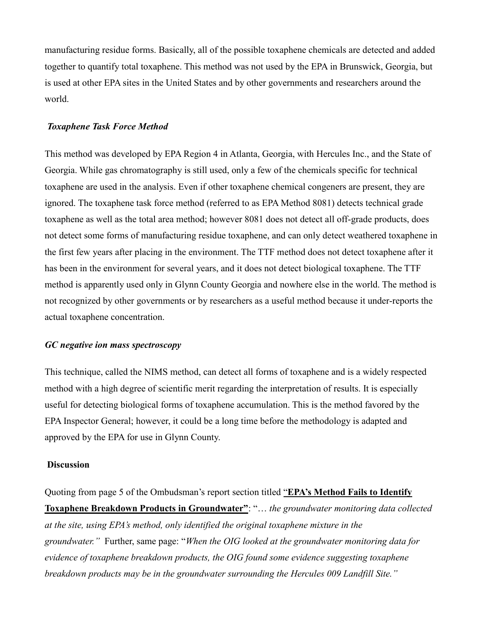manufacturing residue forms. Basically, all of the possible toxaphene chemicals are detected and added together to quantify total toxaphene. This method was not used by the EPA in Brunswick, Georgia, but is used at other EPA sites in the United States and by other governments and researchers around the world.

## *Toxaphene Task Force Method*

This method was developed by EPA Region 4 in Atlanta, Georgia, with Hercules Inc., and the State of Georgia. While gas chromatography is still used, only a few of the chemicals specific for technical toxaphene are used in the analysis. Even if other toxaphene chemical congeners are present, they are ignored. The toxaphene task force method (referred to as EPA Method 8081) detects technical grade toxaphene as well as the total area method; however 8081 does not detect all off-grade products, does not detect some forms of manufacturing residue toxaphene, and can only detect weathered toxaphene in the first few years after placing in the environment. The TTF method does not detect toxaphene after it has been in the environment for several years, and it does not detect biological toxaphene. The TTF method is apparently used only in Glynn County Georgia and nowhere else in the world. The method is not recognized by other governments or by researchers as a useful method because it under-reports the actual toxaphene concentration.

#### *GC negative ion mass spectroscopy*

This technique, called the NIMS method, can detect all forms of toxaphene and is a widely respected method with a high degree of scientific merit regarding the interpretation of results. It is especially useful for detecting biological forms of toxaphene accumulation. This is the method favored by the EPA Inspector General; however, it could be a long time before the methodology is adapted and approved by the EPA for use in Glynn County.

### **Discussion**

Quoting from page 5 of the Ombudsman's report section titled "**EPA's Method Fails to Identify Toxaphene Breakdown Products in Groundwater"**: "… *the groundwater monitoring data collected at the site, using EPA's method, only identified the original toxaphene mixture in the groundwater."* Further, same page: "*When the OIG looked at the groundwater monitoring data for evidence of toxaphene breakdown products, the OIG found some evidence suggesting toxaphene breakdown products may be in the groundwater surrounding the Hercules 009 Landfill Site."*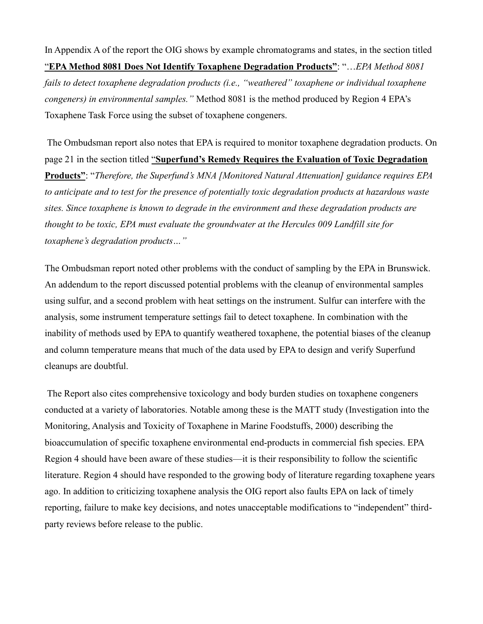In Appendix A of the report the OIG shows by example chromatograms and states, in the section titled "**EPA Method 8081 Does Not Identify Toxaphene Degradation Products"**: "…*EPA Method 8081 fails to detect toxaphene degradation products (i.e., "weathered" toxaphene or individual toxaphene congeners) in environmental samples."* Method 8081 is the method produced by Region 4 EPA's Toxaphene Task Force using the subset of toxaphene congeners.

The Ombudsman report also notes that EPA is required to monitor toxaphene degradation products. On page 21 in the section titled "**Superfund's Remedy Requires the Evaluation of Toxic Degradation Products"**: "*Therefore, the Superfund's MNA [Monitored Natural Attenuation] guidance requires EPA to anticipate and to test for the presence of potentially toxic degradation products at hazardous waste sites. Since toxaphene is known to degrade in the environment and these degradation products are thought to be toxic, EPA must evaluate the groundwater at the Hercules 009 Landfill site for toxaphene's degradation products…"*

The Ombudsman report noted other problems with the conduct of sampling by the EPA in Brunswick. An addendum to the report discussed potential problems with the cleanup of environmental samples using sulfur, and a second problem with heat settings on the instrument. Sulfur can interfere with the analysis, some instrument temperature settings fail to detect toxaphene. In combination with the inability of methods used by EPA to quantify weathered toxaphene, the potential biases of the cleanup and column temperature means that much of the data used by EPA to design and verify Superfund cleanups are doubtful.

The Report also cites comprehensive toxicology and body burden studies on toxaphene congeners conducted at a variety of laboratories. Notable among these is the MATT study (Investigation into the Monitoring, Analysis and Toxicity of Toxaphene in Marine Foodstuffs, 2000) describing the bioaccumulation of specific toxaphene environmental end-products in commercial fish species. EPA Region 4 should have been aware of these studies—it is their responsibility to follow the scientific literature. Region 4 should have responded to the growing body of literature regarding toxaphene years ago. In addition to criticizing toxaphene analysis the OIG report also faults EPA on lack of timely reporting, failure to make key decisions, and notes unacceptable modifications to "independent" thirdparty reviews before release to the public.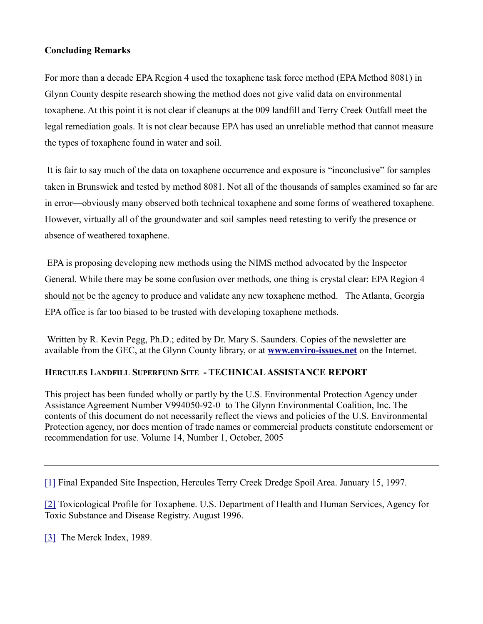## **Concluding Remarks**

For more than a decade EPA Region 4 used the toxaphene task force method (EPA Method 8081) in Glynn County despite research showing the method does not give valid data on environmental toxaphene. At this point it is not clear if cleanups at the 009 landfill and Terry Creek Outfall meet the legal remediation goals. It is not clear because EPA has used an unreliable method that cannot measure the types of toxaphene found in water and soil.

It is fair to say much of the data on toxaphene occurrence and exposure is "inconclusive" for samples taken in Brunswick and tested by method 8081. Not all of the thousands of samples examined so far are in error—obviously many observed both technical toxaphene and some forms of weathered toxaphene. However, virtually all of the groundwater and soil samples need retesting to verify the presence or absence of weathered toxaphene.

EPA is proposing developing new methods using the NIMS method advocated by the Inspector General. While there may be some confusion over methods, one thing is crystal clear: EPA Region 4 should not be the agency to produce and validate any new toxaphene method. The Atlanta, Georgia EPA office is far too biased to be trusted with developing toxaphene methods.

Written by R. Kevin Pegg, Ph.D.; edited by Dr. Mary S. Saunders. Copies of the newsletter are available from the GEC, at the Glynn County library, or at **[www.enviro-issues.net](http://www.enviro-issues.net/)** on the Internet.

## **HERCULES LANDFILL SUPERFUND SITE - TECHNICAL ASSISTANCE REPORT**

This project has been funded wholly or partly by the U.S. Environmental Protection Agency under Assistance Agreement Number V994050-92-0 to The Glynn Environmental Coalition, Inc. The contents of this document do not necessarily reflect the views and policies of the U.S. Environmental Protection agency, nor does mention of trade names or commercial products constitute endorsement or recommendation for use. Volume 14, Number 1, October, 2005

[\[1\]](http://glynnenvironmental.org/oldsite/009IG-comments-12-19-05.htm#_ednref1) Final Expanded Site Inspection, Hercules Terry Creek Dredge Spoil Area. January 15, 1997.

[\[2\]](http://glynnenvironmental.org/oldsite/009IG-comments-12-19-05.htm#_ednref2) Toxicological Profile for Toxaphene. U.S. Department of Health and Human Services, Agency for Toxic Substance and Disease Registry. August 1996.

[\[3\]](http://glynnenvironmental.org/oldsite/009IG-comments-12-19-05.htm#_ednref3) The Merck Index, 1989.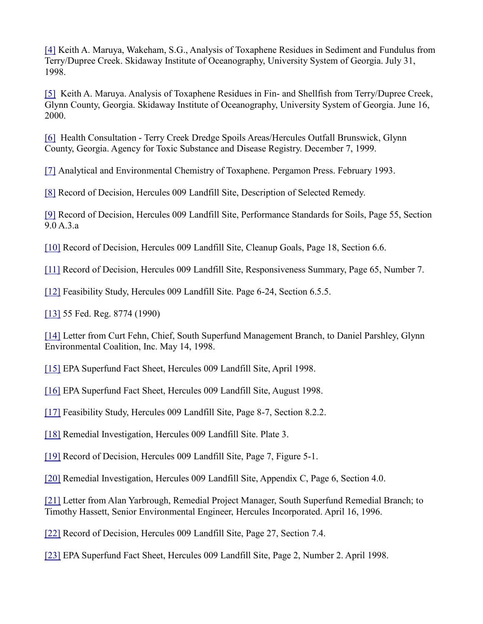[\[4\]](http://glynnenvironmental.org/oldsite/009IG-comments-12-19-05.htm#_ednref4) Keith A. Maruya, Wakeham, S.G., Analysis of Toxaphene Residues in Sediment and Fundulus from Terry/Dupree Creek. Skidaway Institute of Oceanography, University System of Georgia. July 31, 1998.

[\[5\]](http://glynnenvironmental.org/oldsite/009IG-comments-12-19-05.htm#_ednref5) Keith A. Maruya. Analysis of Toxaphene Residues in Fin- and Shellfish from Terry/Dupree Creek, Glynn County, Georgia. Skidaway Institute of Oceanography, University System of Georgia. June 16, 2000.

[\[6\]](http://glynnenvironmental.org/oldsite/009IG-comments-12-19-05.htm#_ednref6) Health Consultation - Terry Creek Dredge Spoils Areas/Hercules Outfall Brunswick, Glynn County, Georgia. Agency for Toxic Substance and Disease Registry. December 7, 1999.

[\[7\]](http://glynnenvironmental.org/oldsite/009IG-comments-12-19-05.htm#_ednref7) Analytical and Environmental Chemistry of Toxaphene. Pergamon Press. February 1993.

[\[8\]](http://glynnenvironmental.org/oldsite/009IG-comments-12-19-05.htm#_ednref8) Record of Decision, Hercules 009 Landfill Site, Description of Selected Remedy.

[\[9\]](http://glynnenvironmental.org/oldsite/009IG-comments-12-19-05.htm#_ednref9) Record of Decision, Hercules 009 Landfill Site, Performance Standards for Soils, Page 55, Section 9.0 A.3.a

[\[10\]](http://glynnenvironmental.org/oldsite/009IG-comments-12-19-05.htm#_ednref10) Record of Decision, Hercules 009 Landfill Site, Cleanup Goals, Page 18, Section 6.6.

[\[11\]](http://glynnenvironmental.org/oldsite/009IG-comments-12-19-05.htm#_ednref11) Record of Decision, Hercules 009 Landfill Site, Responsiveness Summary, Page 65, Number 7.

[\[12\]](http://glynnenvironmental.org/oldsite/009IG-comments-12-19-05.htm#_ednref12) Feasibility Study, Hercules 009 Landfill Site. Page 6-24, Section 6.5.5.

[\[13\]](http://glynnenvironmental.org/oldsite/009IG-comments-12-19-05.htm#_ednref13) 55 Fed. Reg. 8774 (1990)

[\[14\]](http://glynnenvironmental.org/oldsite/009IG-comments-12-19-05.htm#_ednref14) Letter from Curt Fehn, Chief, South Superfund Management Branch, to Daniel Parshley, Glynn Environmental Coalition, Inc. May 14, 1998.

[\[15\]](http://glynnenvironmental.org/oldsite/009IG-comments-12-19-05.htm#_ednref15) EPA Superfund Fact Sheet, Hercules 009 Landfill Site, April 1998.

[\[16\]](http://glynnenvironmental.org/oldsite/009IG-comments-12-19-05.htm#_ednref16) EPA Superfund Fact Sheet, Hercules 009 Landfill Site, August 1998.

[\[17\]](http://glynnenvironmental.org/oldsite/009IG-comments-12-19-05.htm#_ednref17) Feasibility Study, Hercules 009 Landfill Site, Page 8-7, Section 8.2.2.

[\[18\]](http://glynnenvironmental.org/oldsite/009IG-comments-12-19-05.htm#_ednref18) Remedial Investigation, Hercules 009 Landfill Site. Plate 3.

[\[19\]](http://glynnenvironmental.org/oldsite/009IG-comments-12-19-05.htm#_ednref19) Record of Decision, Hercules 009 Landfill Site, Page 7, Figure 5-1.

[\[20\]](http://glynnenvironmental.org/oldsite/009IG-comments-12-19-05.htm#_ednref20) Remedial Investigation, Hercules 009 Landfill Site, Appendix C, Page 6, Section 4.0.

[\[21\]](http://glynnenvironmental.org/oldsite/009IG-comments-12-19-05.htm#_ednref21) Letter from Alan Yarbrough, Remedial Project Manager, South Superfund Remedial Branch; to Timothy Hassett, Senior Environmental Engineer, Hercules Incorporated. April 16, 1996.

[\[22\]](http://glynnenvironmental.org/oldsite/009IG-comments-12-19-05.htm#_ednref22) Record of Decision, Hercules 009 Landfill Site, Page 27, Section 7.4.

[\[23\]](http://glynnenvironmental.org/oldsite/009IG-comments-12-19-05.htm#_ednref23) EPA Superfund Fact Sheet, Hercules 009 Landfill Site, Page 2, Number 2. April 1998.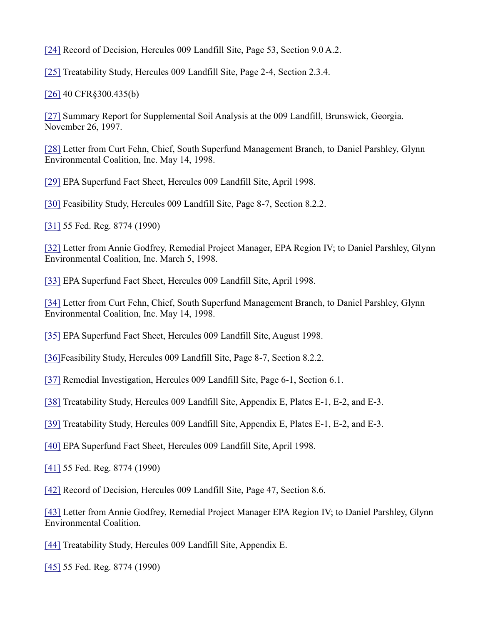[\[24\]](http://glynnenvironmental.org/oldsite/009IG-comments-12-19-05.htm#_ednref24) Record of Decision, Hercules 009 Landfill Site, Page 53, Section 9.0 A.2.

[\[25\]](http://glynnenvironmental.org/oldsite/009IG-comments-12-19-05.htm#_ednref25) Treatability Study, Hercules 009 Landfill Site, Page 2-4, Section 2.3.4.

[\[26\]](http://glynnenvironmental.org/oldsite/009IG-comments-12-19-05.htm#_ednref26) 40 CFR§300.435(b)

[\[27\]](http://glynnenvironmental.org/oldsite/009IG-comments-12-19-05.htm#_ednref27) Summary Report for Supplemental Soil Analysis at the 009 Landfill, Brunswick, Georgia. November 26, 1997.

[\[28\]](http://glynnenvironmental.org/oldsite/009IG-comments-12-19-05.htm#_ednref28) Letter from Curt Fehn, Chief, South Superfund Management Branch, to Daniel Parshley, Glynn Environmental Coalition, Inc. May 14, 1998.

[\[29\]](http://glynnenvironmental.org/oldsite/009IG-comments-12-19-05.htm#_ednref29) EPA Superfund Fact Sheet, Hercules 009 Landfill Site, April 1998.

[\[30\]](http://glynnenvironmental.org/oldsite/009IG-comments-12-19-05.htm#_ednref30) Feasibility Study, Hercules 009 Landfill Site, Page 8-7, Section 8.2.2.

[\[31\]](http://glynnenvironmental.org/oldsite/009IG-comments-12-19-05.htm#_ednref31) 55 Fed. Reg. 8774 (1990)

[\[32\]](http://glynnenvironmental.org/oldsite/009IG-comments-12-19-05.htm#_ednref32) Letter from Annie Godfrey, Remedial Project Manager, EPA Region IV; to Daniel Parshley, Glynn Environmental Coalition, Inc. March 5, 1998.

[\[33\]](http://glynnenvironmental.org/oldsite/009IG-comments-12-19-05.htm#_ednref33) EPA Superfund Fact Sheet, Hercules 009 Landfill Site, April 1998.

[\[34\]](http://glynnenvironmental.org/oldsite/009IG-comments-12-19-05.htm#_ednref34) Letter from Curt Fehn, Chief, South Superfund Management Branch, to Daniel Parshley, Glynn Environmental Coalition, Inc. May 14, 1998.

[\[35\]](http://glynnenvironmental.org/oldsite/009IG-comments-12-19-05.htm#_ednref35) EPA Superfund Fact Sheet, Hercules 009 Landfill Site, August 1998.

[\[36\]F](http://glynnenvironmental.org/oldsite/009IG-comments-12-19-05.htm#_ednref36)easibility Study, Hercules 009 Landfill Site, Page 8-7, Section 8.2.2.

[\[37\]](http://glynnenvironmental.org/oldsite/009IG-comments-12-19-05.htm#_ednref37) Remedial Investigation, Hercules 009 Landfill Site, Page 6-1, Section 6.1.

[\[38\]](http://glynnenvironmental.org/oldsite/009IG-comments-12-19-05.htm#_ednref38) Treatability Study, Hercules 009 Landfill Site, Appendix E, Plates E-1, E-2, and E-3.

[\[39\]](http://glynnenvironmental.org/oldsite/009IG-comments-12-19-05.htm#_ednref39) Treatability Study, Hercules 009 Landfill Site, Appendix E, Plates E-1, E-2, and E-3.

[\[40\]](http://glynnenvironmental.org/oldsite/009IG-comments-12-19-05.htm#_ednref40) EPA Superfund Fact Sheet, Hercules 009 Landfill Site, April 1998.

[\[41\]](http://glynnenvironmental.org/oldsite/009IG-comments-12-19-05.htm#_ednref41) 55 Fed. Reg. 8774 (1990)

[\[42\]](http://glynnenvironmental.org/oldsite/009IG-comments-12-19-05.htm#_ednref42) Record of Decision, Hercules 009 Landfill Site, Page 47, Section 8.6.

[\[43\]](http://glynnenvironmental.org/oldsite/009IG-comments-12-19-05.htm#_ednref43) Letter from Annie Godfrey, Remedial Project Manager EPA Region IV; to Daniel Parshley, Glynn Environmental Coalition.

[\[44\]](http://glynnenvironmental.org/oldsite/009IG-comments-12-19-05.htm#_ednref44) Treatability Study, Hercules 009 Landfill Site, Appendix E.

[\[45\]](http://glynnenvironmental.org/oldsite/009IG-comments-12-19-05.htm#_ednref45) 55 Fed. Reg. 8774 (1990)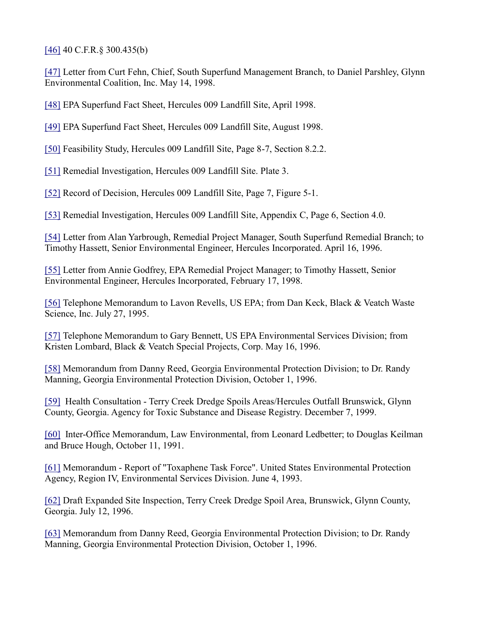[\[46\]](http://glynnenvironmental.org/oldsite/009IG-comments-12-19-05.htm#_ednref46) 40 C.F.R.§ 300.435(b)

[\[47\]](http://glynnenvironmental.org/oldsite/009IG-comments-12-19-05.htm#_ednref47) Letter from Curt Fehn, Chief, South Superfund Management Branch, to Daniel Parshley, Glynn Environmental Coalition, Inc. May 14, 1998.

[\[48\]](http://glynnenvironmental.org/oldsite/009IG-comments-12-19-05.htm#_ednref48) EPA Superfund Fact Sheet, Hercules 009 Landfill Site, April 1998.

[\[49\]](http://glynnenvironmental.org/oldsite/009IG-comments-12-19-05.htm#_ednref49) EPA Superfund Fact Sheet, Hercules 009 Landfill Site, August 1998.

[\[50\]](http://glynnenvironmental.org/oldsite/009IG-comments-12-19-05.htm#_ednref50) Feasibility Study, Hercules 009 Landfill Site, Page 8-7, Section 8.2.2.

[\[51\]](http://glynnenvironmental.org/oldsite/009IG-comments-12-19-05.htm#_ednref51) Remedial Investigation, Hercules 009 Landfill Site. Plate 3.

[\[52\]](http://glynnenvironmental.org/oldsite/009IG-comments-12-19-05.htm#_ednref52) Record of Decision, Hercules 009 Landfill Site, Page 7, Figure 5-1.

[\[53\]](http://glynnenvironmental.org/oldsite/009IG-comments-12-19-05.htm#_ednref53) Remedial Investigation, Hercules 009 Landfill Site, Appendix C, Page 6, Section 4.0.

[\[54\]](http://glynnenvironmental.org/oldsite/009IG-comments-12-19-05.htm#_ednref54) Letter from Alan Yarbrough, Remedial Project Manager, South Superfund Remedial Branch; to Timothy Hassett, Senior Environmental Engineer, Hercules Incorporated. April 16, 1996.

[\[55\]](http://glynnenvironmental.org/oldsite/009IG-comments-12-19-05.htm#_ednref55) Letter from Annie Godfrey, EPA Remedial Project Manager; to Timothy Hassett, Senior Environmental Engineer, Hercules Incorporated, February 17, 1998.

[\[56\]](http://glynnenvironmental.org/oldsite/009IG-comments-12-19-05.htm#_ednref56) Telephone Memorandum to Lavon Revells, US EPA; from Dan Keck, Black & Veatch Waste Science, Inc. July 27, 1995.

[\[57\]](http://glynnenvironmental.org/oldsite/009IG-comments-12-19-05.htm#_ednref57) Telephone Memorandum to Gary Bennett, US EPA Environmental Services Division; from Kristen Lombard, Black & Veatch Special Projects, Corp. May 16, 1996.

[\[58\]](http://glynnenvironmental.org/oldsite/009IG-comments-12-19-05.htm#_ednref58) Memorandum from Danny Reed, Georgia Environmental Protection Division; to Dr. Randy Manning, Georgia Environmental Protection Division, October 1, 1996.

[\[59\]](http://glynnenvironmental.org/oldsite/009IG-comments-12-19-05.htm#_ednref59) Health Consultation - Terry Creek Dredge Spoils Areas/Hercules Outfall Brunswick, Glynn County, Georgia. Agency for Toxic Substance and Disease Registry. December 7, 1999.

[\[60\]](http://glynnenvironmental.org/oldsite/009IG-comments-12-19-05.htm#_ednref60) Inter-Office Memorandum, Law Environmental, from Leonard Ledbetter; to Douglas Keilman and Bruce Hough, October 11, 1991.

[\[61\]](http://glynnenvironmental.org/oldsite/009IG-comments-12-19-05.htm#_ednref61) Memorandum - Report of "Toxaphene Task Force". United States Environmental Protection Agency, Region IV, Environmental Services Division. June 4, 1993.

[\[62\]](http://glynnenvironmental.org/oldsite/009IG-comments-12-19-05.htm#_ednref62) Draft Expanded Site Inspection, Terry Creek Dredge Spoil Area, Brunswick, Glynn County, Georgia. July 12, 1996.

[\[63\]](http://glynnenvironmental.org/oldsite/009IG-comments-12-19-05.htm#_ednref63) Memorandum from Danny Reed, Georgia Environmental Protection Division; to Dr. Randy Manning, Georgia Environmental Protection Division, October 1, 1996.